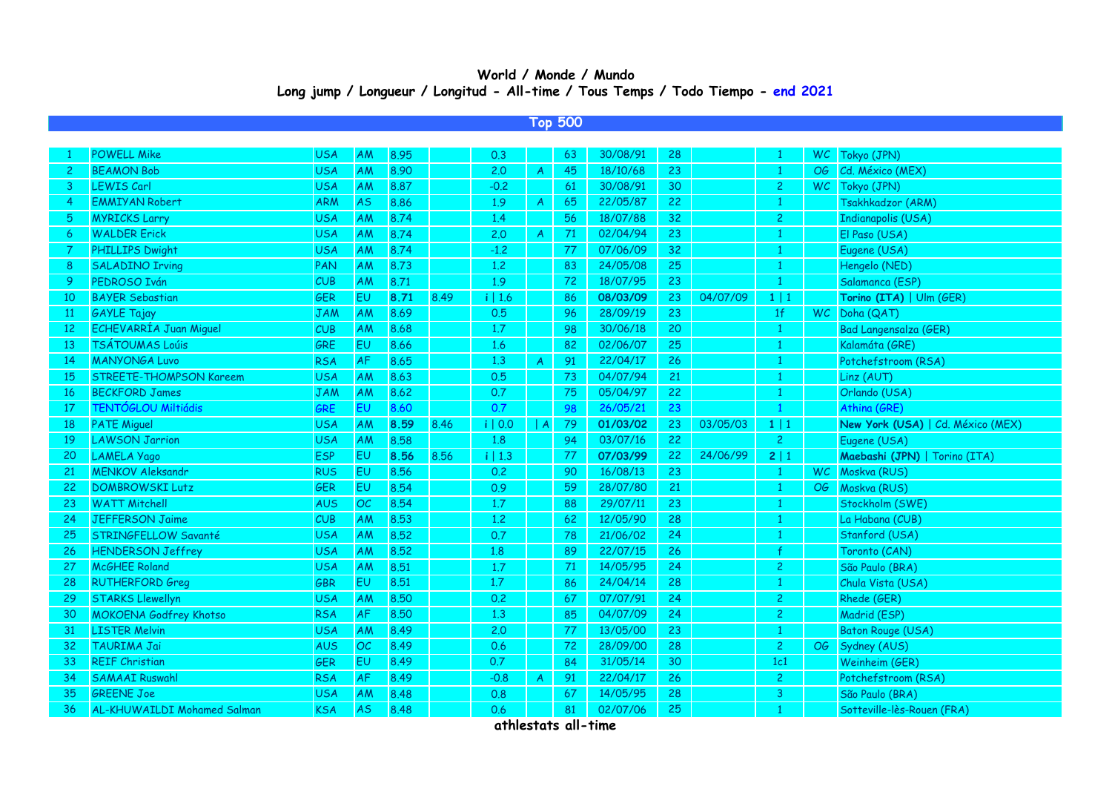## **World / Monde / Mundo Long jump / Longueur / Longitud - All-time / Tous Temps / Todo Tiempo - end 2021**

## **Top 500**

|                | <b>POWELL Mike</b>             | <b>USA</b> | AM        | 8.95 |      | 0.3       |                | 63 | 30/08/91 | 28 |          |                |           | WC Tokyo (JPN)                    |
|----------------|--------------------------------|------------|-----------|------|------|-----------|----------------|----|----------|----|----------|----------------|-----------|-----------------------------------|
| $\overline{c}$ | <b>BEAMON Bob</b>              | <b>USA</b> | AM        | 8.90 |      | 2.0       | $\mathsf{A}$   | 45 | 18/10/68 | 23 |          | $\mathbf{1}$   | OG        | Cd. México (MEX)                  |
| 3              | LEWIS Carl                     | <b>USA</b> | AM        | 8.87 |      | $-0.2$    |                | 61 | 30/08/91 | 30 |          | $\overline{2}$ | <b>WC</b> | Tokyo (JPN)                       |
| 4              | <b>EMMIYAN Robert</b>          | <b>ARM</b> | <b>AS</b> | 8.86 |      | 1.9       | $\overline{A}$ | 65 | 22/05/87 | 22 |          | $\mathbf{1}$   |           | Tsakhkadzor (ARM)                 |
| 5.             | <b>MYRICKS Larry</b>           | <b>USA</b> | AM        | 8.74 |      | 1.4       |                | 56 | 18/07/88 | 32 |          | $\overline{2}$ |           | <b>Indianapolis (USA)</b>         |
| 6              | <b>WALDER Erick</b>            | <b>USA</b> | AM        | 8.74 |      | 2.0       | $\mathcal{A}$  | 71 | 02/04/94 | 23 |          |                |           | El Paso (USA)                     |
|                | <b>PHILLIPS Dwight</b>         | <b>USA</b> | AM        | 8.74 |      | $-1.2$    |                | 77 | 07/06/09 | 32 |          | $\mathbf{1}$   |           | Eugene (USA)                      |
| 8              | <b>SALADINO Irving</b>         | PAN        | AM        | 8.73 |      | 1.2       |                | 83 | 24/05/08 | 25 |          | $\mathbf{1}$   |           | Hengelo (NED)                     |
| 9              | PEDROSO Iván                   | CUB        | AM        | 8.71 |      | 1.9       |                | 72 | 18/07/95 | 23 |          | $\mathbf{1}$   |           | Salamanca (ESP)                   |
| 10             | <b>BAYER Sebastian</b>         | <b>GER</b> | EU        | 8.71 | 8.49 | $i$   1.6 |                | 86 | 08/03/09 | 23 | 04/07/09 | $1 \mid 1$     |           | Torino (ITA)   Ulm (GER)          |
| <sup>11</sup>  | <b>GAYLE Tajay</b>             | <b>JAM</b> | AM        | 8.69 |      | 0.5       |                | 96 | 28/09/19 | 23 |          | 1 <sup>f</sup> | WC        | Doha (QAT)                        |
| 12             | ECHEVARRÍA Juan Miguel         | CUB        | AM        | 8.68 |      | 1.7       |                | 98 | 30/06/18 | 20 |          | $\mathbf{1}$   |           | <b>Bad Langensalza (GER)</b>      |
| 13             | TSÁTOUMAS Loúis                | GRE        | EU        | 8.66 |      | 1.6       |                | 82 | 02/06/07 | 25 |          | $\mathbf{1}$   |           | Kalamáta (GRE)                    |
| 14             | <b>MANYONGA Luvo</b>           | <b>RSA</b> | AF        | 8.65 |      | 1,3       | $\overline{A}$ | 91 | 22/04/17 | 26 |          |                |           | Potchefstroom (RSA)               |
| 15             | <b>STREETE-THOMPSON Kareem</b> | <b>USA</b> | AM        | 8.63 |      | 0.5       |                | 73 | 04/07/94 | 21 |          |                |           | Linz (AUT)                        |
| 16             | <b>BECKFORD James</b>          | <b>JAM</b> | AM        | 8.62 |      | 0.7       |                | 75 | 05/04/97 | 22 |          |                |           | Orlando (USA)                     |
| 17             | TENTÓGLOU Miltiádis            | GRE        | EU        | 8.60 |      | 0.7       |                | 98 | 26/05/21 | 23 |          | $\mathbf{1}$   |           | Athina (GRE)                      |
| 18             | <b>PATE Miguel</b>             | <b>USA</b> | AM        | 8.59 | 8.46 | i   0.0   | A              | 79 | 01/03/02 | 23 | 03/05/03 | $1 \mid 1$     |           | New York (USA)   Cd. México (MEX) |
| 19             | <b>LAWSON Jarrion</b>          | <b>USA</b> | AM        | 8.58 |      | 1.8       |                | 94 | 03/07/16 | 22 |          | $\overline{2}$ |           | Eugene (USA)                      |
| 20             | LAMELA Yago                    | <b>ESP</b> | EU        | 8.56 | 8.56 | i   1.3   |                | 77 | 07/03/99 | 22 | 24/06/99 | 2 1            |           | Maebashi (JPN)   Torino (ITA)     |
| 21             | <b>MENKOV Aleksandr</b>        | <b>RUS</b> | EU        | 8.56 |      | 0.2       |                | 90 | 16/08/13 | 23 |          | $\mathbf{1}$   |           | WC Moskva (RUS)                   |
| 22             | <b>DOMBROWSKI Lutz</b>         | <b>GER</b> | EU        | 8.54 |      | 0.9       |                | 59 | 28/07/80 | 21 |          |                | OG        | Moskva (RUS)                      |
| 23             | <b>WATT Mitchell</b>           | <b>AUS</b> | OC        | 8.54 |      | 1.7       |                | 88 | 29/07/11 | 23 |          | $\mathbf{1}$   |           | Stockholm (SWE)                   |
| 24             | <b>JEFFERSON Jaime</b>         | CUB        | AM        | 8.53 |      | 1.2       |                | 62 | 12/05/90 | 28 |          |                |           | La Habana (CUB)                   |
| 25             | STRINGFELLOW Savanté           | <b>USA</b> | AM        | 8.52 |      | 0.7       |                | 78 | 21/06/02 | 24 |          | $\mathbf{1}$   |           | Stanford (USA)                    |
| 26             | <b>HENDERSON Jeffrey</b>       | <b>USA</b> | AM        | 8.52 |      | 1.8       |                | 89 | 22/07/15 | 26 |          |                |           | Toronto (CAN)                     |
| 27             | <b>McGHEE Roland</b>           | <b>USA</b> | AM        | 8.51 |      | 1.7       |                | 71 | 14/05/95 | 24 |          | $\overline{2}$ |           | São Paulo (BRA)                   |
| 28             | <b>RUTHERFORD Greg</b>         | <b>GBR</b> | EU        | 8.51 |      | 1.7       |                | 86 | 24/04/14 | 28 |          | $\mathbf{1}$   |           | Chula Vista (USA)                 |
| 29             | <b>STARKS Llewellyn</b>        | <b>USA</b> | AM        | 8.50 |      | 0.2       |                | 67 | 07/07/91 | 24 |          | $\overline{2}$ |           | Rhede (GER)                       |
| 30             | <b>MOKOENA Godfrey Khotso</b>  | <b>RSA</b> | <b>AF</b> | 8.50 |      | 1.3       |                | 85 | 04/07/09 | 24 |          | $\overline{2}$ |           | Madrid (ESP)                      |
| 31             | <b>LISTER Melvin</b>           | <b>USA</b> | AM        | 8.49 |      | 2.0       |                | 77 | 13/05/00 | 23 |          | $\mathbf{1}$   |           | <b>Baton Rouge (USA)</b>          |
| 32             | TAURIMA Jai                    | <b>AUS</b> | OC        | 8.49 |      | 0.6       |                | 72 | 28/09/00 | 28 |          | $\overline{c}$ | OG        | Sydney (AUS)                      |
| 33             | <b>REIF Christian</b>          | <b>GER</b> | <b>EU</b> | 8.49 |      | 0.7       |                | 84 | 31/05/14 | 30 |          | 1c1            |           | Weinheim (GER)                    |
| 34             | <b>SAMAAI Ruswahl</b>          | <b>RSA</b> | AF        | 8.49 |      | $-0.8$    | $\overline{A}$ | 91 | 22/04/17 | 26 |          | $\overline{c}$ |           | Potchefstroom (RSA)               |
| 35             | <b>GREENE Joe</b>              | <b>USA</b> | AM        | 8.48 |      | 0.8       |                | 67 | 14/05/95 | 28 |          | 3              |           | São Paulo (BRA)                   |
| 36             | AL-KHUWAILDI Mohamed Salman    | <b>KSA</b> | <b>AS</b> | 8.48 |      | 0.6       |                | 81 | 02/07/06 | 25 |          | $\mathbf{1}$   |           | Sotteville-lès-Rouen (FRA)        |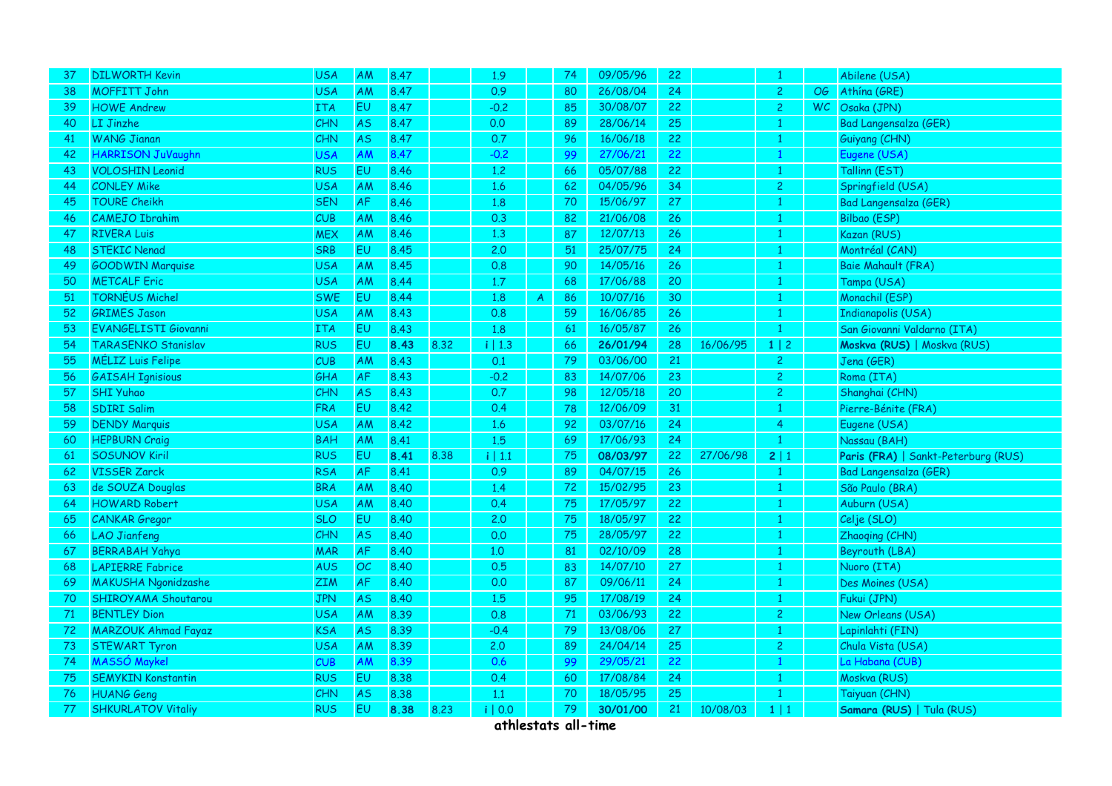| 37 | <b>DILWORTH Kevin</b>       | <b>USA</b> | <b>AM</b> | 8.47 |      | 1.9          |              | 74     | 09/05/96 | 22              |          | 1              |           | Abilene (USA)                       |
|----|-----------------------------|------------|-----------|------|------|--------------|--------------|--------|----------|-----------------|----------|----------------|-----------|-------------------------------------|
| 38 | <b>MOFFITT John</b>         | <b>USA</b> | AM        | 8.47 |      | 0.9          |              | 80     | 26/08/04 | 24              |          | $\overline{2}$ | OG .      | Athína (GRE)                        |
| 39 | <b>HOWE Andrew</b>          | <b>ITA</b> | <b>EU</b> | 8.47 |      | $-0.2$       |              | 85     | 30/08/07 | 22              |          | $\overline{2}$ | <b>WC</b> | Osaka (JPN)                         |
| 40 | LI Jinzhe                   | <b>CHN</b> | <b>AS</b> | 8.47 |      | 0.0          |              | 89     | 28/06/14 | 25              |          | $\mathbf{1}$   |           | Bad Langensalza (GER)               |
| 41 | <b>WANG Jianan</b>          | <b>CHN</b> | <b>AS</b> | 8.47 |      | 0.7          |              | 96     | 16/06/18 | 22              |          | $\mathbf{1}$   |           | Guiyang (CHN)                       |
| 42 | HARRISON JuVaughn           | <b>USA</b> | AM        | 8.47 |      | $-0.2$       |              | 99     | 27/06/21 | 22              |          | $\mathbf{1}$   |           | Eugene (USA)                        |
| 43 | <b>VOLOSHIN Leonid</b>      | <b>RUS</b> | EU.       | 8.46 |      | 1.2          |              | 66     | 05/07/88 | 22              |          | 1              |           | Tallinn (EST)                       |
| 44 | <b>CONLEY Mike</b>          | <b>USA</b> | AM        | 8.46 |      | 1.6          |              | 62     | 04/05/96 | 34              |          | $\overline{c}$ |           | Springfield (USA)                   |
| 45 | <b>TOURE Cheikh</b>         | <b>SEN</b> | AF        | 8.46 |      | 1.8          |              | 70     | 15/06/97 | 27              |          | $\mathbf{1}$   |           | Bad Langensalza (GER)               |
| 46 | <b>CAMEJO Ibrahim</b>       | <b>CUB</b> | ΑM        | 8.46 |      | 0.3          |              | 82     | 21/06/08 | 26              |          | $\mathbf{1}$   |           | Bilbao (ESP)                        |
| 47 | <b>RIVERA Luis</b>          | <b>MEX</b> | AM        | 8.46 |      | 1.3          |              | 87     | 12/07/13 | 26              |          | $\mathbf{1}$   |           | Kazan (RUS)                         |
| 48 | <b>STEKIC Nenad</b>         | <b>SRB</b> | EU        | 8.45 |      | 2.0          |              | 51     | 25/07/75 | 24              |          | $\mathbf{1}$   |           | Montréal (CAN)                      |
| 49 | <b>GOODWIN Marquise</b>     | <b>USA</b> | AM        | 8.45 |      | 0.8          |              | 90     | 14/05/16 | 26              |          | $\mathbf{1}$   |           | Baie Mahault (FRA)                  |
| 50 | <b>METCALF Eric</b>         | <b>USA</b> | AM        | 8.44 |      | 1.7          |              | 68     | 17/06/88 | 20              |          | $\mathbf{1}$   |           | Tampa (USA)                         |
| 51 | TORNÉUS Michel              | <b>SWE</b> | EU        | 8.44 |      | 1.8          | $\mathsf{A}$ | 86     | 10/07/16 | 30 <sub>o</sub> |          | $\mathbf{1}$   |           | Monachil (ESP)                      |
| 52 | <b>GRIMES Jason</b>         | <b>USA</b> | AM        | 8.43 |      | 0.8          |              | 59     | 16/06/85 | 26              |          | $\mathbf{1}$   |           | <b>Indianapolis (USA)</b>           |
| 53 | <b>EVANGELISTI Giovanni</b> | <b>ITA</b> | <b>EU</b> | 8.43 |      | 1.8          |              | 61     | 16/05/87 | 26              |          | $\mathbf{1}$   |           | San Giovanni Valdarno (ITA)         |
| 54 | <b>TARASENKO Stanislav</b>  | <b>RUS</b> | EU        | 8.43 | 8.32 | i   1.3      |              | 66     | 26/01/94 | 28              | 16/06/95 | $1 \mid 2$     |           | Moskva (RUS)   Moskva (RUS)         |
| 55 | <b>MÉLIZ Luis Felipe</b>    | <b>CUB</b> | AM        | 8.43 |      | 0.1          |              | 79     | 03/06/00 | 21              |          | $\overline{c}$ |           | Jena (GER)                          |
| 56 | <b>GAISAH Ignisious</b>     | GHA        | AF        | 8.43 |      | $-0.2$       |              | 83     | 14/07/06 | 23              |          | $\overline{c}$ |           | Roma (ITA)                          |
| 57 | <b>SHI Yuhao</b>            | CHN        | <b>AS</b> | 8.43 |      | 0.7          |              | 98     | 12/05/18 | 20              |          | $\overline{c}$ |           | Shanghai (CHN)                      |
| 58 | <b>SDIRI Salim</b>          | <b>FRA</b> | EU        | 8.42 |      | 0.4          |              | 78     | 12/06/09 | 31              |          | $\mathbf{1}$   |           | Pierre-Bénite (FRA)                 |
| 59 | <b>DENDY Marquis</b>        | <b>USA</b> | AM        | 8.42 |      | 1.6          |              | 92     | 03/07/16 | 24              |          | $\overline{4}$ |           | Eugene (USA)                        |
| 60 | <b>HEPBURN Craig</b>        | <b>BAH</b> | AM        | 8.41 |      | $1.5\,$      |              | 69     | 17/06/93 | 24              |          | $\mathbf{1}$   |           | Nassau (BAH)                        |
| 61 | <b>SOSUNOV Kiril</b>        | <b>RUS</b> | EU        | 8.41 | 8.38 | $i \mid 1.1$ |              | 75     | 08/03/97 | 22              | 27/06/98 | 2   1          |           | Paris (FRA)   Sankt-Peterburg (RUS) |
| 62 | <b>VISSER Zarck</b>         | <b>RSA</b> | AF        | 8.41 |      | 0.9          |              | 89     | 04/07/15 | 26              |          | $\mathbf{1}$   |           | Bad Langensalza (GER)               |
| 63 | de SOUZA Douglas            | <b>BRA</b> | AM        | 8.40 |      | 1.4          |              | 72     | 15/02/95 | 23              |          | $\mathbf{1}$   |           | São Paulo (BRA)                     |
| 64 | <b>HOWARD Robert</b>        | <b>USA</b> | AM        | 8.40 |      | 0.4          |              | 75     | 17/05/97 | 22              |          | $\mathbf{1}$   |           | Auburn (USA)                        |
| 65 | <b>CANKAR</b> Gregor        | <b>SLO</b> | EU        | 8.40 |      | 2.0          |              | 75     | 18/05/97 | 22              |          | $\mathbf{1}$   |           | Celje (SLO)                         |
| 66 | <b>LAO Jianfeng</b>         | CHN        | <b>AS</b> | 8.40 |      | 0.0          |              | 75     | 28/05/97 | 22              |          | 1              |           | Zhaoqing (CHN)                      |
| 67 | <b>BERRABAH Yahya</b>       | <b>MAR</b> | AF        | 8.40 |      | 1,0          |              | 81     | 02/10/09 | 28              |          | $\mathbf{1}$   |           | Beyrouth (LBA)                      |
| 68 | <b>LAPIERRE Fabrice</b>     | <b>AUS</b> | OC        | 8.40 |      | 0.5          |              | 83     | 14/07/10 | 27              |          | $\mathbf{1}$   |           | Nuoro (ITA)                         |
| 69 | <b>MAKUSHA Ngonidzashe</b>  | ZIM        | AF        | 8.40 |      | 0.0          |              | 87     | 09/06/11 | 24              |          | 1              |           | Des Moines (USA)                    |
| 70 | SHIROYAMA Shoutarou         | <b>JPN</b> | <b>AS</b> | 8.40 |      | 1,5          |              | 95     | 17/08/19 | 24              |          | $\mathbf{1}$   |           | Fukui (JPN)                         |
| 71 | <b>BENTLEY Dion</b>         | <b>USA</b> | AM        | 8.39 |      | 0.8          |              | $71\,$ | 03/06/93 | 22              |          | $\overline{2}$ |           | New Orleans (USA)                   |
| 72 | <b>MARZOUK Ahmad Fayaz</b>  | <b>KSA</b> | AS        | 8.39 |      | $-0.4$       |              | 79     | 13/08/06 | 27              |          | $\mathbf{1}$   |           | Lapinlahti (FIN)                    |
| 73 | <b>STEWART Tyron</b>        | <b>USA</b> | AM        | 8.39 |      | 2.0          |              | 89     | 24/04/14 | 25              |          | $\overline{c}$ |           | Chula Vista (USA)                   |
| 74 | <b>MASSÓ Maykel</b>         | CUB        | AM        | 8.39 |      | 0.6          |              | 99     | 29/05/21 | 22              |          | $\mathbf{1}$   |           | La Habana (CUB)                     |
| 75 | <b>SEMYKIN Konstantin</b>   | <b>RUS</b> | EU        | 8.38 |      | 0.4          |              | 60     | 17/08/84 | 24              |          | $\mathbf{1}$   |           | Moskva (RUS)                        |
| 76 | <b>HUANG Geng</b>           | <b>CHN</b> | <b>AS</b> | 8.38 |      | 1.1          |              | 70     | 18/05/95 | 25              |          | $\mathbf{1}$   |           | Taiyuan (CHN)                       |
| 77 | <b>SHKURLATOV Vitaliy</b>   | <b>RUS</b> | EU        | 8.38 | 8.23 | i   0.0      |              | 79     | 30/01/00 | 21              | 10/08/03 | $1 \mid 1$     |           | Samara (RUS)   Tula (RUS)           |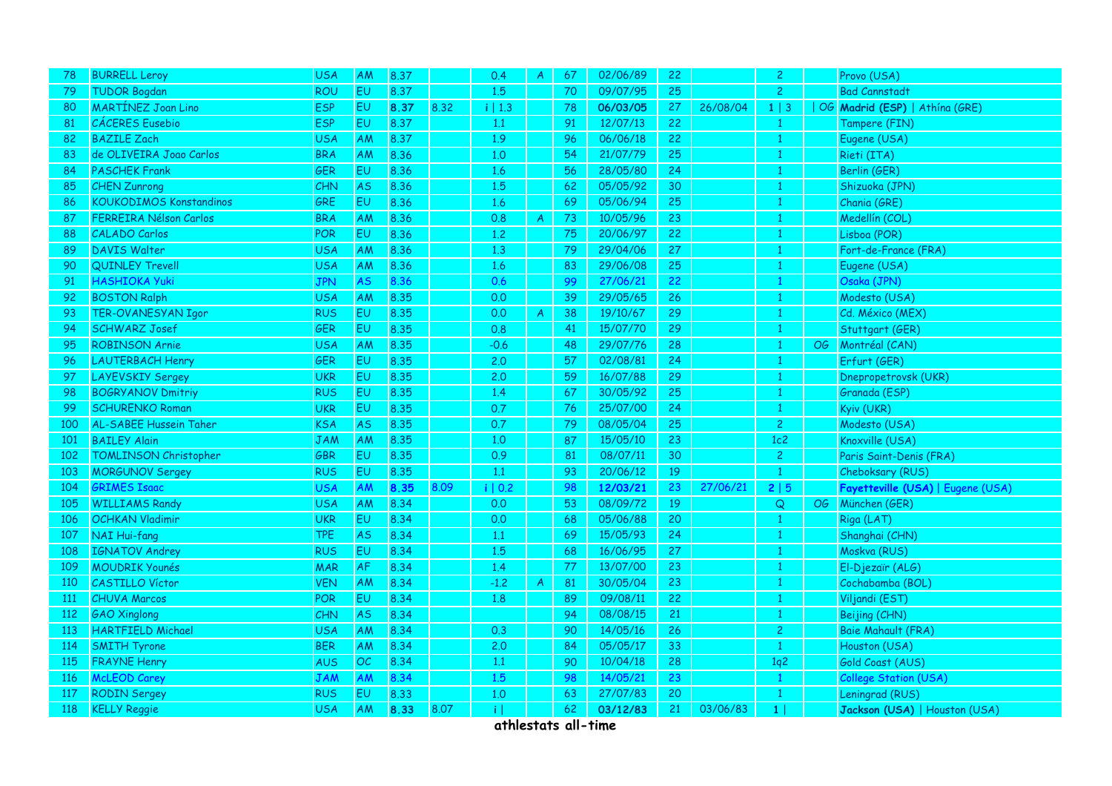| <b>TUDOR Bogdan</b>            | <b>ROU</b>          | <b>EU</b> | 8.37 |      |         |               |    |          |                                  |          |                 |                                                                                                                   |                                   |
|--------------------------------|---------------------|-----------|------|------|---------|---------------|----|----------|----------------------------------|----------|-----------------|-------------------------------------------------------------------------------------------------------------------|-----------------------------------|
|                                |                     |           |      |      | 1.5     |               | 70 | 09/07/95 | 25                               |          | $\overline{2}$  |                                                                                                                   | <b>Bad Cannstadt</b>              |
| <b>MARTÍNEZ Joan Lino</b>      | <b>ESP</b>          | <b>EU</b> | 8.37 | 8.32 | i   1.3 |               | 78 | 06/03/05 | 27                               | 26/08/04 | $1 \mid 3$      |                                                                                                                   | OG Madrid (ESP)   Athína (GRE)    |
| <b>CÁCERES</b> Eusebio         | <b>ESP</b>          | <b>EU</b> | 8.37 |      | 1.1     |               | 91 | 12/07/13 | 22                               |          |                 |                                                                                                                   | Tampere (FIN)                     |
| <b>BAZILE Zach</b>             | <b>USA</b>          | AM        | 8.37 |      | 1.9     |               | 96 | 06/06/18 | 22                               |          | $\mathbf{1}$    |                                                                                                                   | Eugene (USA)                      |
| de OLIVEIRA Joao Carlos        | <b>BRA</b>          | AM        | 8.36 |      | 1.0     |               | 54 | 21/07/79 | 25                               |          | $\mathbf{1}$    |                                                                                                                   | Rieti (ITA)                       |
| <b>PASCHEK Frank</b>           | <b>GER</b>          | <b>EU</b> | 8.36 |      | 1.6     |               | 56 | 28/05/80 | 24                               |          | $\mathbf{1}$    |                                                                                                                   | Berlin (GER)                      |
| <b>CHEN Zunrong</b>            | CHN                 | <b>AS</b> | 8.36 |      | 1.5     |               | 62 | 05/05/92 | 30                               |          | $\mathbf{1}$    |                                                                                                                   | Shizuoka (JPN)                    |
| <b>KOUKODIMOS Konstandinos</b> | GRE                 | <b>EU</b> | 8.36 |      | 1.6     |               | 69 | 05/06/94 | 25                               |          | $\mathbf{1}$    |                                                                                                                   | Chania (GRE)                      |
| FERREIRA Nélson Carlos         | <b>BRA</b>          | <b>AM</b> | 8.36 |      | 0.8     | $\mathcal{A}$ | 73 | 10/05/96 | 23                               |          | $\mathbf{1}$    |                                                                                                                   | Medellín (COL)                    |
| <b>CALADO Carlos</b>           | POR                 | <b>EU</b> | 8.36 |      | 1.2     |               | 75 | 20/06/97 | 22                               |          | $\mathbf{1}$    |                                                                                                                   | Lisboa (POR)                      |
| <b>DAVIS Walter</b>            | <b>USA</b>          | AM        | 8.36 |      | 1.3     |               | 79 | 29/04/06 | 27                               |          | $\mathbf{1}$    |                                                                                                                   | Fort-de-France (FRA)              |
| <b>QUINLEY Trevell</b>         | <b>USA</b>          | <b>AM</b> | 8.36 |      | 1.6     |               | 83 | 29/06/08 | 25                               |          | $\mathbf{1}$    |                                                                                                                   | Eugene (USA)                      |
| <b>HASHIOKA Yuki</b>           | <b>JPN</b>          | <b>AS</b> | 8.36 |      | 0.6     |               | 99 | 27/06/21 | 22                               |          | $\mathbf{1}$    |                                                                                                                   | Osaka (JPN)                       |
| <b>BOSTON Ralph</b>            | <b>USA</b>          | AM        | 8.35 |      | 0.0     |               | 39 | 29/05/65 | 26                               |          | $\mathbf{1}$    |                                                                                                                   | Modesto (USA)                     |
| TER-OVANESYAN Igor             | <b>RUS</b>          | <b>EU</b> | 8.35 |      | 0.0     | $\mathcal{A}$ | 38 | 19/10/67 | 29                               |          | $\mathbf{1}$    |                                                                                                                   | Cd. México (MEX)                  |
| <b>SCHWARZ Josef</b>           | GER                 | <b>EU</b> | 8.35 |      | 0.8     |               | 41 | 15/07/70 | 29                               |          | $\mathbf{1}$    |                                                                                                                   | Stuttgart (GER)                   |
| <b>ROBINSON Arnie</b>          | <b>USA</b>          | AM        | 8.35 |      | $-0.6$  |               | 48 | 29/07/76 | 28                               |          | $\mathbf{1}$    | OG                                                                                                                | Montréal (CAN)                    |
| <b>LAUTERBACH Henry</b>        | <b>GER</b>          | EU        | 8.35 |      | 2.0     |               | 57 | 02/08/81 | 24                               |          | $\mathbf{1}$    |                                                                                                                   | Erfurt (GER)                      |
| <b>LAYEVSKIY Sergey</b>        | <b>UKR</b>          | <b>EU</b> | 8.35 |      | 2.0     |               | 59 | 16/07/88 | 29                               |          | $\mathbf{1}$    |                                                                                                                   | Dnepropetrovsk (UKR)              |
| <b>BOGRYANOV Dmitriy</b>       | RUS                 | EU        | 8.35 |      | 1.4     |               | 67 | 30/05/92 | 25                               |          | $\mathbf{1}$    |                                                                                                                   | Granada (ESP)                     |
| <b>SCHURENKO Roman</b>         | <b>UKR</b>          | EU        | 8.35 |      | 0.7     |               | 76 | 25/07/00 | 24                               |          | $\mathbf{1}$    |                                                                                                                   | Kyiv (UKR)                        |
| AL-SABEE Hussein Taher         | <b>KSA</b>          | <b>AS</b> | 8.35 |      | 0.7     |               | 79 | 08/05/04 | 25                               |          | $\overline{2}$  |                                                                                                                   | Modesto (USA)                     |
| <b>BAILEY Alain</b>            | <b>JAM</b>          | AM        | 8.35 |      | 1.0     |               | 87 | 15/05/10 | 23                               |          | 1c2             |                                                                                                                   | Knoxville (USA)                   |
| <b>TOMLINSON Christopher</b>   | <b>GBR</b>          | <b>EU</b> | 8.35 |      |         |               | 81 |          | 30                               |          | $\overline{2}$  |                                                                                                                   | Paris Saint-Denis (FRA)           |
| <b>MORGUNOV Sergey</b>         | <b>RUS</b>          | <b>EU</b> | 8.35 |      | 1.1     |               | 93 | 20/06/12 | 19                               |          | $\mathbf{1}$    |                                                                                                                   | Cheboksary (RUS)                  |
| <b>SRIMES Isaac</b>            | USA                 | AM        | 8.35 | 8.09 | i   0.2 |               | 98 | 12/03/21 | 23                               | 27/06/21 | 2 5             |                                                                                                                   | Fayetteville (USA)   Eugene (USA) |
| <b>WILLIAMS Randy</b>          | USA                 | AM        | 8.34 |      | 0.0     |               | 53 | 08/09/72 | 19                               |          | Q               | OG                                                                                                                | München (GER)                     |
| <b>OCHKAN Vladimir</b>         | <b>UKR</b>          | <b>EU</b> | 8.34 |      | 0.0     |               | 68 | 05/06/88 | 20                               |          | $\mathbf{1}$    |                                                                                                                   | Riga (LAT)                        |
| <b>NAI Hui-fang</b>            | TPE.                | AS.       | 8.34 |      | 1.1     |               | 69 | 15/05/93 | 24                               |          | $\mathbf{1}$    |                                                                                                                   | Shanghai (CHN)                    |
| <b>IGNATOV Andrey</b>          | <b>RUS</b>          | <b>EU</b> | 8.34 |      | 1.5     |               | 68 | 16/06/95 | 27                               |          | $\mathbf{1}$    |                                                                                                                   | Moskva (RUS)                      |
| <b>MOUDRIK Younés</b>          | <b>MAR</b>          | AF        | 8.34 |      | 1.4     |               | 77 | 13/07/00 | 23                               |          | $\mathbf{1}$    |                                                                                                                   | El-Djezaïr (ALG)                  |
| <b>CASTILLO Víctor</b>         | <b>VEN</b>          | <b>AM</b> | 8.34 |      | $-1.2$  | $\mathcal{A}$ | 81 | 30/05/04 | 23                               |          | $\mathbf{1}$    |                                                                                                                   | Cochabamba (BOL)                  |
|                                | <b>POR</b>          | <b>EU</b> |      |      |         |               | 89 |          |                                  |          | $\mathbf{1}$    |                                                                                                                   | Viljandi (EST)                    |
| <b>GAO Xinglong</b>            | CHN                 | <b>AS</b> | 8.34 |      |         |               | 94 |          | 21                               |          | $\mathbf{1}$    |                                                                                                                   | Beijing (CHN)                     |
| <b>HARTFIELD Michael</b>       | <b>USA</b>          | <b>AM</b> | 8.34 |      | 0.3     |               | 90 | 14/05/16 | 26                               |          | $\overline{c}$  |                                                                                                                   | <b>Baie Mahault (FRA)</b>         |
| <b>SMITH Tyrone</b>            | <b>BER</b>          | AM        | 8.34 |      | 2.0     |               | 84 | 05/05/17 | 33                               |          | $\mathbf{1}$    |                                                                                                                   | Houston (USA)                     |
| <b>FRAYNE Henry</b>            | <b>AUS</b>          | OC        | 8.34 |      | $1.1\,$ |               | 90 | 10/04/18 | 28                               |          | 1q <sup>2</sup> |                                                                                                                   | Gold Coast (AUS)                  |
| <b>McLEOD Carey</b>            | JAM                 | AM        | 8.34 |      | 1.5     |               | 98 | 14/05/21 | 23                               |          | $\mathbf{1}$    |                                                                                                                   | College Station (USA)             |
| <b>RODIN Sergey</b>            | <b>RUS</b>          | <b>EU</b> | 8.33 |      | 1.0     |               | 63 | 27/07/83 | 20                               |          | $\mathbf{1}$    |                                                                                                                   | Leningrad (RUS)                   |
|                                |                     |           |      |      |         |               |    |          |                                  |          |                 |                                                                                                                   | Jackson (USA)   Houston (USA)     |
|                                | <b>CHUVA Marcos</b> |           |      | 8.34 |         | 0.9<br>1.8    |    |          | 08/07/11<br>09/08/11<br>08/08/15 | 22       |                 | <b>KELLY Reggie</b><br>03/06/83<br><b>USA</b><br>AM<br>8.33<br>8.07<br>$\mathbf{i}$<br>62<br>03/12/83<br>21<br> 1 |                                   |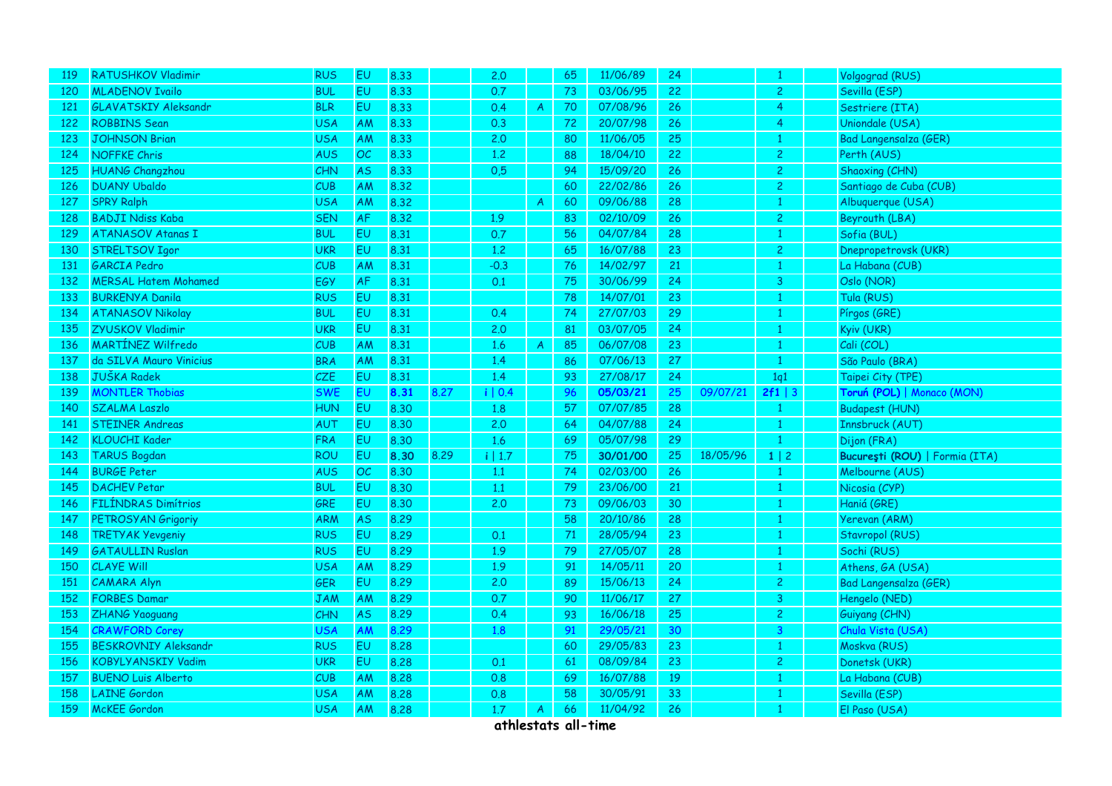| 119 | <b>RATUSHKOV Vladimir</b>   | <b>RUS</b> | <b>EU</b> | 8.33 |      | 2.0     |                  | 65     | 11/06/89 | 24 |          | $\mathbf{1}$   | Volgograd (RUS)                |
|-----|-----------------------------|------------|-----------|------|------|---------|------------------|--------|----------|----|----------|----------------|--------------------------------|
| 120 | <b>MLADENOV Ivailo</b>      | <b>BUL</b> | EU        | 8.33 |      | 0.7     |                  | 73     | 03/06/95 | 22 |          | $\overline{2}$ | Sevilla (ESP)                  |
| 121 | <b>GLAVATSKIY Aleksandr</b> | <b>BLR</b> | <b>EU</b> | 8.33 |      | 0.4     | $\mathcal{A}$    | 70     | 07/08/96 | 26 |          | 4              | Sestriere (ITA)                |
| 122 | <b>ROBBINS Sean</b>         | USA        | AM        | 8.33 |      | 0.3     |                  | 72     | 20/07/98 | 26 |          | 4              | Uniondale (USA)                |
| 123 | <b>JOHNSON Brian</b>        | USA        | AM        | 8.33 |      | 2.0     |                  | 80     | 11/06/05 | 25 |          | $\mathbf{1}$   | Bad Langensalza (GER)          |
| 124 | <b>NOFFKE Chris</b>         | <b>AUS</b> | OC        | 8.33 |      | 1.2     |                  | 88     | 18/04/10 | 22 |          | $\overline{c}$ | Perth (AUS)                    |
| 125 | <b>HUANG Changzhou</b>      | <b>CHN</b> | <b>AS</b> | 8.33 |      | 0,5     |                  | 94     | 15/09/20 | 26 |          | $\overline{2}$ | Shaoxing (CHN)                 |
| 126 | <b>DUANY Ubaldo</b>         | CUB        | AM        | 8.32 |      |         |                  | 60     | 22/02/86 | 26 |          | $\overline{c}$ | Santiago de Cuba (CUB)         |
| 127 | <b>SPRY Ralph</b>           | USA        | AM        | 8.32 |      |         | $\mathcal{A}$    | 60     | 09/06/88 | 28 |          | $\mathbf{1}$   | Albuquerque (USA)              |
| 128 | <b>BADJI Ndiss Kaba</b>     | <b>SEN</b> | AF        | 8.32 |      | 1.9     |                  | 83     | 02/10/09 | 26 |          | $\overline{c}$ | Beyrouth (LBA)                 |
| 129 | <b>ATANASOV Atanas I</b>    | <b>BUL</b> | <b>EU</b> | 8.31 |      | 0.7     |                  | 56     | 04/07/84 | 28 |          | $\mathbf{1}$   | Sofia (BUL)                    |
| 130 | <b>STRELTSOV Igor</b>       | <b>UKR</b> | EU        | 8.31 |      | 1.2     |                  | 65     | 16/07/88 | 23 |          | $\overline{2}$ | Dnepropetrovsk (UKR)           |
| 131 | <b>GARCIA</b> Pedro         | CUB        | AM        | 8.31 |      | $-0.3$  |                  | 76     | 14/02/97 | 21 |          | $\mathbf{1}$   | La Habana (CUB)                |
| 132 | <b>MERSAL Hatem Mohamed</b> | EGY        | AF        | 8.31 |      | 0.1     |                  | 75     | 30/06/99 | 24 |          | 3              | Oslo (NOR)                     |
| 133 | <b>BURKENYA Danila</b>      | <b>RUS</b> | EU        | 8.31 |      |         |                  | $78\,$ | 14/07/01 | 23 |          | $\mathbf{1}$   | Tula (RUS)                     |
| 134 | <b>ATANASOV Nikolay</b>     | <b>BUL</b> | <b>EU</b> | 8.31 |      | 0.4     |                  | 74     | 27/07/03 | 29 |          | $\mathbf{1}$   | Pírgos (GRE)                   |
| 135 | <b>ZYUSKOV Vladimir</b>     | <b>UKR</b> | <b>EU</b> | 8.31 |      | 2.0     |                  | 81     | 03/07/05 | 24 |          | $\mathbf{1}$   | Kyiv (UKR)                     |
| 136 | <b>MARTÍNEZ Wilfredo</b>    | CUB        | AM        | 8.31 |      | 1.6     | $\boldsymbol{A}$ | 85     | 06/07/08 | 23 |          | $\mathbf{1}$   | Cali (COL)                     |
| 137 | da SILVA Mauro Vinicius     | <b>BRA</b> | AM        | 8.31 |      | 1.4     |                  | 86     | 07/06/13 | 27 |          | $\mathbf{1}$   | São Paulo (BRA)                |
| 138 | <b>JUŠKA Radek</b>          | CZE        | <b>EU</b> | 8.31 |      | 1.4     |                  | 93     | 27/08/17 | 24 |          | 1q1            | Taipei City (TPE)              |
| 139 | <b>MONTLER Thobias</b>      | <b>SWE</b> | <b>EU</b> | 8.31 | 8.27 | i   0.4 |                  | 96     | 05/03/21 | 25 | 09/07/21 | 2f1   3        | Toruń (POL)   Monaco (MON)     |
| 140 | <b>SZALMA Laszlo</b>        | <b>HUN</b> | EU        | 8.30 |      | 1.8     |                  | 57     | 07/07/85 | 28 |          | 1              | <b>Budapest (HUN)</b>          |
| 141 | <b>STEINER Andreas</b>      | AUT        | EU        | 8.30 |      | 2.0     |                  | 64     | 04/07/88 | 24 |          | $\mathbf{1}$   | Innsbruck (AUT)                |
| 142 | <b>KLOUCHI Kader</b>        | <b>FRA</b> | EU        | 8.30 |      | 1.6     |                  | 69     | 05/07/98 | 29 |          | $\mathbf{1}$   | Dijon (FRA)                    |
| 143 | <b>TARUS Bogdan</b>         | <b>ROU</b> | <b>EU</b> | 8.30 | 8.29 | i   1.7 |                  | 75     | 30/01/00 | 25 | 18/05/96 | $1 \mid 2$     | București (ROU)   Formia (ITA) |
| 144 | <b>BURGE Peter</b>          | <b>AUS</b> | OC        | 8.30 |      | 1.1     |                  | 74     | 02/03/00 | 26 |          | $\mathbf{1}$   | Melbourne (AUS)                |
| 145 | <b>DACHEV Petar</b>         | <b>BUL</b> | EU        | 8.30 |      | 1.1     |                  | 79     | 23/06/00 | 21 |          | $\mathbf{1}$   | Nicosia (CYP)                  |
| 146 | <b>FILÍNDRAS Dimítrios</b>  | GRE        | EU        | 8.30 |      | 2.0     |                  | 73     | 09/06/03 | 30 |          | $\mathbf{1}$   | Haniá (GRE)                    |
| 147 | PETROSYAN Grigoriy          | <b>ARM</b> | <b>AS</b> | 8.29 |      |         |                  | 58     | 20/10/86 | 28 |          | $\mathbf{1}$   | Yerevan (ARM)                  |
| 148 | <b>TRETYAK Yevgeniy</b>     | <b>RUS</b> | <b>EU</b> | 8.29 |      | 0.1     |                  | 71     | 28/05/94 | 23 |          | $\mathbf{1}$   | Stavropol (RUS)                |
| 149 | <b>GATAULLIN Ruslan</b>     | <b>RUS</b> | EU        | 8.29 |      | 1.9     |                  | 79     | 27/05/07 | 28 |          | $\mathbf{1}$   | Sochi (RUS)                    |
| 150 | <b>CLAYE Will</b>           | <b>USA</b> | AM        | 8.29 |      | 1.9     |                  | 91     | 14/05/11 | 20 |          | $\mathbf{1}$   | Athens, GA (USA)               |
| 151 | <b>CAMARA Alyn</b>          | <b>GER</b> | EU        | 8.29 |      | 2.0     |                  | 89     | 15/06/13 | 24 |          | $\overline{c}$ | Bad Langensalza (GER)          |
| 152 | <b>FORBES Damar</b>         | <b>JAM</b> | AM        | 8.29 |      | 0.7     |                  | 90     | 11/06/17 | 27 |          | 3              | Hengelo (NED)                  |
| 153 | ZHANG Yaoguang              | CHN        | <b>AS</b> | 8.29 |      | 0.4     |                  | 93     | 16/06/18 | 25 |          | $\overline{2}$ | Guiyang (CHN)                  |
| 154 | <b>CRAWFORD Corey</b>       | USA        | AM        | 8.29 |      | 1.8     |                  | 91     | 29/05/21 | 30 |          | 3              | Chula Vista (USA)              |
| 155 | <b>BESKROVNIY Aleksandr</b> | <b>RUS</b> | EU        | 8.28 |      |         |                  | 60     | 29/05/83 | 23 |          | $\mathbf{1}$   | Moskva (RUS)                   |
| 156 | <b>KOBYLYANSKIY Vadim</b>   | <b>UKR</b> | <b>EU</b> | 8.28 |      | 0.1     |                  | 61     | 08/09/84 | 23 |          | $\overline{c}$ | Donetsk (UKR)                  |
| 157 | <b>BUENO Luis Alberto</b>   | CUB        | <b>AM</b> | 8.28 |      | 0.8     |                  | 69     | 16/07/88 | 19 |          | $\mathbf{1}$   | La Habana (CUB)                |
| 158 | <b>LAINE</b> Gordon         | <b>USA</b> | AM        | 8.28 |      | 0.8     |                  | 58     | 30/05/91 | 33 |          | $\mathbf{1}$   | Sevilla (ESP)                  |
| 159 | <b>McKEE</b> Gordon         | <b>USA</b> | AM        | 8.28 |      | 1.7     | $\mathsf{A}$     | 66     | 11/04/92 | 26 |          | $\mathbf{1}$   | El Paso (USA)                  |
|     |                             |            |           |      |      |         |                  |        |          |    |          |                |                                |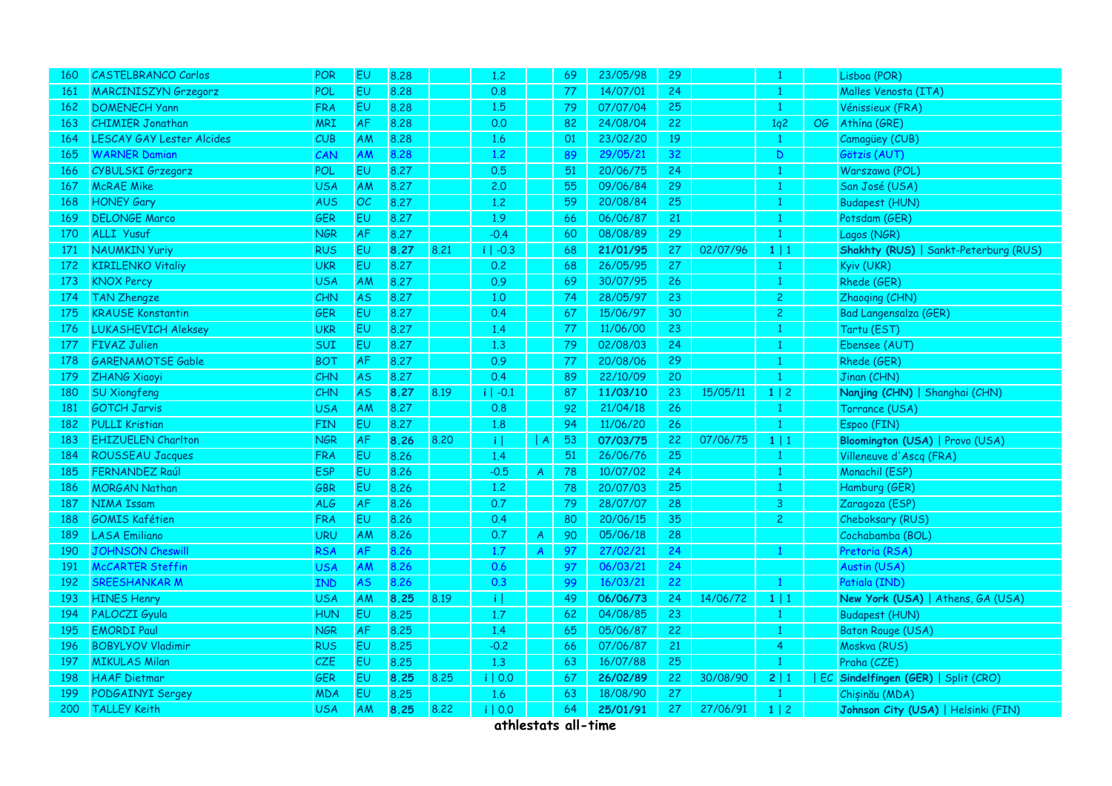| <u> 160</u> | <b>CASTELBRANCO Carlos</b>       | <b>POR</b> | EU        | 8.28 |      | 1,2          |               | 69 | 23/05/98 | 29 |          |                 |     | Lisboa (POR)                                 |
|-------------|----------------------------------|------------|-----------|------|------|--------------|---------------|----|----------|----|----------|-----------------|-----|----------------------------------------------|
| 161         | <b>MARCINISZYN Grzegorz</b>      | POL        | EU        | 8.28 |      | 0.8          |               | 77 | 14/07/01 | 24 |          | $\mathbf{1}$    |     | Malles Venosta (ITA)                         |
| 162         | <b>DOMENECH Yann</b>             | <b>FRA</b> | <b>EU</b> | 8.28 |      | 1.5          |               | 79 | 07/07/04 | 25 |          | $\mathbf{1}$    |     | Vénissieux (FRA)                             |
| 163         | <b>CHIMIER Jonathan</b>          | MRI        | AF        | 8.28 |      | 0.0          |               | 82 | 24/08/04 | 22 |          | 1q <sup>2</sup> | OG. | Athína (GRE)                                 |
| 164         | <b>LESCAY GAY Lester Alcides</b> | CUB        | AM        | 8.28 |      | 1.6          |               | 01 | 23/02/20 | 19 |          | $\mathbf{1}$    |     | Camagüey (CUB)                               |
| 165         | <b>WARNER Damian</b>             | CAN        | AM        | 8.28 |      | $1.2$        |               | 89 | 29/05/21 | 32 |          | $\mathsf D$     |     | Götzis (AUT)                                 |
| 166         | CYBULSKI Grzegorz                | POL        | EU        | 8.27 |      | 0.5          |               | 51 | 20/06/75 | 24 |          | $\mathbf{1}$    |     | Warszawa (POL)                               |
| 167         | <b>McRAE</b> Mike                | <b>USA</b> | <b>AM</b> | 8.27 |      | 2.0          |               | 55 | 09/06/84 | 29 |          | $\mathbf{1}$    |     | San José (USA)                               |
| 168         | <b>HONEY Gary</b>                | AUS        | OC        | 8.27 |      | 1.2          |               | 59 | 20/08/84 | 25 |          | $\mathbf{1}$    |     | <b>Budapest (HUN)</b>                        |
| 169         | <b>DELONGE Marco</b>             | GER        | EU        | 8.27 |      | 1.9          |               | 66 | 06/06/87 | 21 |          | $\mathbf{1}$    |     | Potsdam (GER)                                |
| 170         | ALLI Yusuf                       | <b>NGR</b> | AF        | 8.27 |      | $-0.4$       |               | 60 | 08/08/89 | 29 |          | $\mathbf{1}$    |     | Lagos (NGR)                                  |
| 171         | NAUMKIN Yuriy                    | <b>RUS</b> | EU        | 8.27 | 8,21 | $i$   -0.3   |               | 68 | 21/01/95 | 27 | 02/07/96 | $1 \mid 1$      |     | <b>Shakhty (RUS)   Sankt-Peterburg (RUS)</b> |
| 172         | <b>KIRILENKO Vitaliy</b>         | <b>UKR</b> | EU        | 8.27 |      | 0.2          |               | 68 | 26/05/95 | 27 |          | $\mathbf{1}$    |     | Kyiv (UKR)                                   |
| 173         | <b>KNOX Percy</b>                | <b>USA</b> | AM        | 8.27 |      | 0.9          |               | 69 | 30/07/95 | 26 |          | 1               |     | Rhede (GER)                                  |
| 174         | <b>TAN Zhengze</b>               | CHN        | <b>AS</b> | 8.27 |      | 1.0          |               | 74 | 28/05/97 | 23 |          | $\overline{c}$  |     | Zhaoqing (CHN)                               |
| 175         | <b>KRAUSE Konstantin</b>         | GER        | EU        | 8.27 |      | 0.4          |               | 67 | 15/06/97 | 30 |          | $\overline{c}$  |     | <b>Bad Langensalza (GER)</b>                 |
| 176         | <b>LUKASHEVICH Aleksey</b>       | <b>UKR</b> | EU        | 8.27 |      | 1.4          |               | 77 | 11/06/00 | 23 |          | $\mathbf{1}$    |     | Tartu (EST)                                  |
| 177         | <b>FIVAZ Julien</b>              | SUI        | EU        | 8.27 |      | 1.3          |               | 79 | 02/08/03 | 24 |          | $\mathbf{1}$    |     | Ebensee (AUT)                                |
| 178         | <b>GARENAMOTSE Gable</b>         | <b>BOT</b> | AF        | 8.27 |      | 0.9          |               | 77 | 20/08/06 | 29 |          | $\mathbf{1}$    |     | Rhede (GER)                                  |
| 179         | <b>ZHANG Xiaoyi</b>              | CHN        | <b>AS</b> | 8.27 |      | 0.4          |               | 89 | 22/10/09 | 20 |          | 1               |     | Jinan (CHN)                                  |
| 180         | <b>SU Xiongfeng</b>              | CHN        | <b>AS</b> | 8.27 | 8.19 | $i$   -0.1   |               | 87 | 11/03/10 | 23 | 15/05/11 | 1 2             |     | Nanjing (CHN)   Shanghai (CHN)               |
| 181         | <b>GOTCH Jarvis</b>              | <b>USA</b> | AM        | 8.27 |      | 0.8          |               | 92 | 21/04/18 | 26 |          |                 |     | Torrance (USA)                               |
| 182         | <b>PULLI Kristian</b>            | <b>FIN</b> | EU        | 8.27 |      | 1.8          |               | 94 | 11/06/20 | 26 |          | $\mathbf{1}$    |     | Espoo (FIN)                                  |
| 183         | <b>EHIZUELEN Charlton</b>        | <b>NGR</b> | AF        | 8.26 | 8.20 | τļ           | A             | 53 | 07/03/75 | 22 | 07/06/75 | $1 \mid 1$      |     | Bloomington (USA)   Provo (USA)              |
| 184         | <b>ROUSSEAU Jacques</b>          | <b>FRA</b> | EU        | 8.26 |      | 1.4          |               | 51 | 26/06/76 | 25 |          | $\mathbf{1}$    |     | Villeneuve d'Ascq (FRA)                      |
| 185         | <b>FERNANDEZ Raúl</b>            | <b>ESP</b> | EU        | 8.26 |      | $-0.5$       | $\mathsf{A}$  | 78 | 10/07/02 | 24 |          | $\mathbf{1}$    |     | Monachil (ESP)                               |
| 186         | <b>MORGAN Nathan</b>             | GBR        | EU        | 8.26 |      | 1.2          |               | 78 | 20/07/03 | 25 |          | $\mathbf{1}$    |     | Hamburg (GER)                                |
| 187         | NIMA Issam                       | <b>ALG</b> | AF        | 8.26 |      | 0.7          |               | 79 | 28/07/07 | 28 |          | $\overline{3}$  |     | Zaragoza (ESP)                               |
| 188         | <b>GOMIS Kafétien</b>            | <b>FRA</b> | EU        | 8.26 |      | 0.4          |               | 80 | 20/06/15 | 35 |          | $\overline{2}$  |     | Cheboksary (RUS)                             |
| 189         | <b>LASA Emiliano</b>             | <b>URU</b> | AM        | 8.26 |      | 0.7          | $\mathcal{A}$ | 90 | 05/06/18 | 28 |          |                 |     | Cochabamba (BOL)                             |
| 190         | <b>JOHNSON Cheswill</b>          | <b>RSA</b> | <b>AF</b> | 8.26 |      | 1.7          | $\mathsf{A}$  | 97 | 27/02/21 | 24 |          | $\mathbf{1}$    |     | Pretoria (RSA)                               |
| 191         | <b>McCARTER Steffin</b>          | USA        | AM        | 8.26 |      | 0.6          |               | 97 | 06/03/21 | 24 |          |                 |     | Austin (USA)                                 |
| 192         | <b>SREESHANKAR M</b>             | IND        | <b>AS</b> | 8.26 |      | 0.3          |               | 99 | 16/03/21 | 22 |          |                 |     | Patiala (IND)                                |
| 193         | <b>HINES Henry</b>               | <b>USA</b> | AM        | 8.25 | 8.19 | $\mathbf{i}$ |               | 49 | 06/06/73 | 24 | 14/06/72 | $1 \mid 1$      |     | New York (USA)   Athens, GA (USA)            |
| 194         | PALOCZI Gyula                    | <b>HUN</b> | EU        | 8.25 |      | 1.7          |               | 62 | 04/08/85 | 23 |          | $\mathbf{1}$    |     | <b>Budapest (HUN)</b>                        |
| 195         | <b>EMORDI Paul</b>               | <b>NGR</b> | <b>AF</b> | 8.25 |      | 1.4          |               | 65 | 05/06/87 | 22 |          |                 |     | <b>Baton Rouge (USA)</b>                     |
| 196         | <b>BOBYLYOV Vladimir</b>         | <b>RUS</b> | <b>EU</b> | 8.25 |      | $-0.2$       |               | 66 | 07/06/87 | 21 |          | $\overline{4}$  |     | Moskva (RUS)                                 |
| 197         | <b>MIKULAS Milan</b>             | <b>CZE</b> | EU        | 8.25 |      | 1,3          |               | 63 | 16/07/88 | 25 |          |                 |     | Praha (CZE)                                  |
| 198         | <b>HAAF Dietmar</b>              | GER        | EU        | 8.25 | 8.25 | $i \mid 0.0$ |               | 67 | 26/02/89 | 22 | 30/08/90 | 2 1             |     | EC Sindelfingen (GER)   Split (CRO)          |
| 199         | PODGAINYI Sergey                 | <b>MDA</b> | EU        | 8.25 |      | 1.6          |               | 63 | 18/08/90 | 27 |          | $\mathbf{1}$    |     | Chișinău (MDA)                               |
| 200         | <b>TALLEY Keith</b>              | USA        | AM        | 8.25 | 8.22 | i   0.0      |               | 64 | 25/01/91 | 27 | 27/06/91 | $1 \mid 2$      |     | Johnson City (USA)   Helsinki (FIN)          |
|             |                                  |            |           |      |      |              |               |    |          |    |          |                 |     |                                              |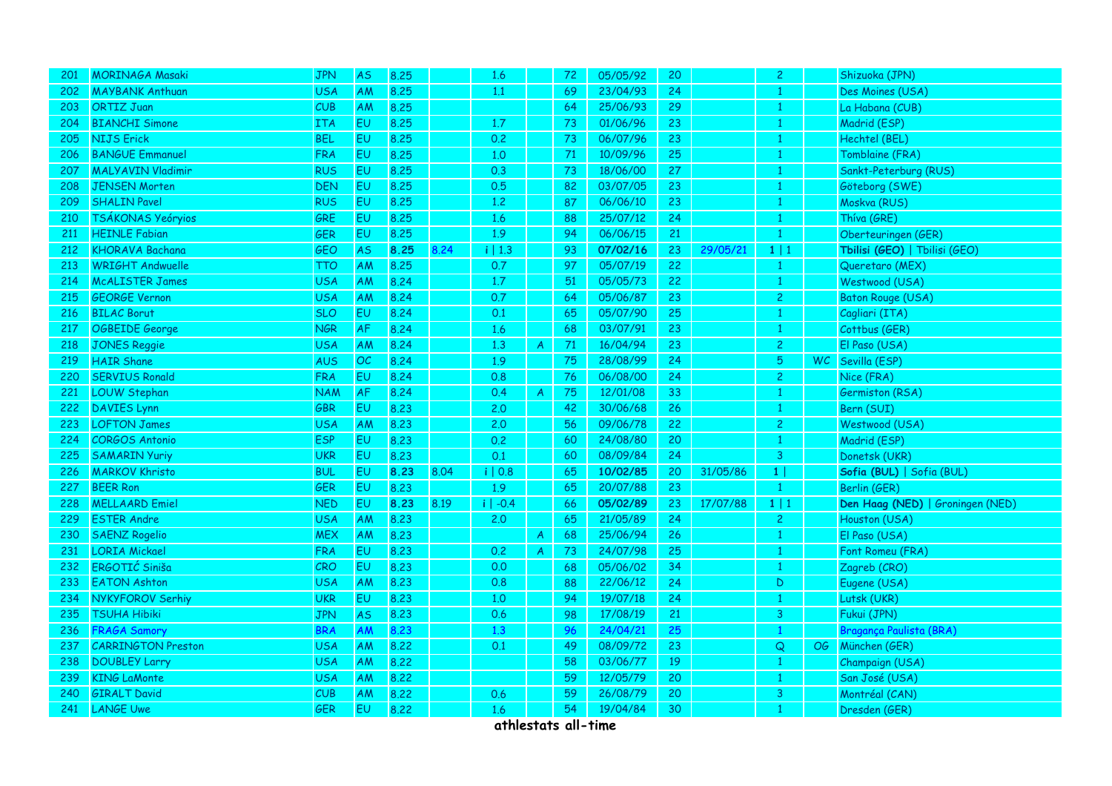| 201 | <b>MORINAGA Masaki</b>    | <b>JPN</b> | <b>AS</b> | 8.25 |      | 1.6        |                | 72 | 05/05/92 | 20 |          | $\mathbf{2}$   |           | Shizuoka (JPN)                   |
|-----|---------------------------|------------|-----------|------|------|------------|----------------|----|----------|----|----------|----------------|-----------|----------------------------------|
| 202 | <b>MAYBANK Anthuan</b>    | USA        | AM        | 8.25 |      | 1.1        |                | 69 | 23/04/93 | 24 |          | 1              |           | Des Moines (USA)                 |
| 203 | <b>ORTIZ Juan</b>         | CUB        | AM        | 8.25 |      |            |                | 64 | 25/06/93 | 29 |          | $\mathbf{1}$   |           | La Habana (CUB)                  |
| 204 | <b>BIANCHI Simone</b>     | ITA        | EU        | 8.25 |      | 1.7        |                | 73 | 01/06/96 | 23 |          | $\mathbf{1}$   |           | Madrid (ESP)                     |
| 205 | <b>NIJS Erick</b>         | <b>BEL</b> | <b>EU</b> | 8.25 |      | 0.2        |                | 73 | 06/07/96 | 23 |          | $\mathbf{1}$   |           | Hechtel (BEL)                    |
| 206 | <b>BANGUE Emmanuel</b>    | <b>FRA</b> | <b>EU</b> | 8.25 |      | 1.0        |                | 71 | 10/09/96 | 25 |          | $\mathbf{1}$   |           | Tomblaine (FRA)                  |
| 207 | <b>MALYAVIN Vladimir</b>  | <b>RUS</b> | <b>EU</b> | 8.25 |      | 0.3        |                | 73 | 18/06/00 | 27 |          | $\mathbf{1}$   |           | Sankt-Peterburg (RUS)            |
| 208 | <b>JENSEN Morten</b>      | <b>DEN</b> | <b>EU</b> | 8.25 |      | 0.5        |                | 82 | 03/07/05 | 23 |          | $\mathbf{1}$   |           | Göteborg (SWE)                   |
| 209 | <b>SHALIN Pavel</b>       | <b>RUS</b> | EU        | 8.25 |      | 1,2        |                | 87 | 06/06/10 | 23 |          | $\mathbf{1}$   |           | Moskva (RUS)                     |
| 210 | TSÁKONAS Yeóryios         | GRE        | EU        | 8.25 |      | 1.6        |                | 88 | 25/07/12 | 24 |          | $\mathbf{1}$   |           | Thíva (GRE)                      |
| 211 | <b>HEINLE Fabian</b>      | <b>GER</b> | <b>EU</b> | 8.25 |      | 1.9        |                | 94 | 06/06/15 | 21 |          | $\mathbf{1}$   |           | Oberteuringen (GER)              |
| 212 | <b>KHORAVA Bachana</b>    | GEO        | <b>AS</b> | 8.25 | 8.24 | i   1.3    |                | 93 | 07/02/16 | 23 | 29/05/21 | $1 \mid 1$     |           | Tbilisi (GEO)   Tbilisi (GEO)    |
| 213 | <b>WRIGHT Andwuelle</b>   | <b>TTO</b> | <b>AM</b> | 8.25 |      | 0.7        |                | 97 | 05/07/19 | 22 |          | $\mathbf{1}$   |           | Queretaro (MEX)                  |
| 214 | <b>McALISTER James</b>    | <b>USA</b> | <b>AM</b> | 8.24 |      | 1.7        |                | 51 | 05/05/73 | 22 |          | $\mathbf{1}$   |           | Westwood (USA)                   |
| 215 | <b>GEORGE Vernon</b>      | USA        | AM        | 8.24 |      | 0.7        |                | 64 | 05/06/87 | 23 |          | $\overline{c}$ |           | <b>Baton Rouge (USA)</b>         |
| 216 | <b>BILAC Borut</b>        | <b>SLO</b> | <b>EU</b> | 8.24 |      | 0.1        |                | 65 | 05/07/90 | 25 |          | $\mathbf{1}$   |           | Cagliari (ITA)                   |
| 217 | OGBEIDE George            | <b>NGR</b> | <b>AF</b> | 8.24 |      | 1.6        |                | 68 | 03/07/91 | 23 |          | $\mathbf{1}$   |           | Cottbus (GER)                    |
| 218 | <b>JONES Reggie</b>       | USA        | AM        | 8.24 |      | 1.3        | $\mathsf{A}$   | 71 | 16/04/94 | 23 |          | $\overline{2}$ |           | El Paso (USA)                    |
| 219 | <b>HAIR Shane</b>         | AUS        | OC        | 8.24 |      | 1.9        |                | 75 | 28/08/99 | 24 |          | 5              | <b>WC</b> | Sevilla (ESP)                    |
| 220 | <b>SERVIUS Ronald</b>     | <b>FRA</b> | <b>EU</b> | 8.24 |      | 0.8        |                | 76 | 06/08/00 | 24 |          | $\overline{c}$ |           | Nice (FRA)                       |
| 221 | <b>LOUW Stephan</b>       | NAM        | <b>AF</b> | 8.24 |      | 0.4        | $\mathcal{A}$  | 75 | 12/01/08 | 33 |          | $\mathbf{1}$   |           | Germiston (RSA)                  |
| 222 | <b>DAVIES Lynn</b>        | GBR        | EU        | 8.23 |      | 2.0        |                | 42 | 30/06/68 | 26 |          | $\mathbf{1}$   |           | Bern (SUI)                       |
| 223 | <b>LOFTON James</b>       | <b>USA</b> | AM        | 8.23 |      | 2.0        |                | 56 | 09/06/78 | 22 |          | $\overline{c}$ |           | Westwood (USA)                   |
| 224 | <b>CORGOS Antonio</b>     | <b>ESP</b> | EV.       | 8.23 |      | 0.2        |                | 60 | 24/08/80 | 20 |          | $\mathbf{1}$   |           | Madrid (ESP)                     |
| 225 | <b>SAMARIN Yuriy</b>      | <b>UKR</b> | <b>EU</b> | 8.23 |      | 0.1        |                | 60 | 08/09/84 | 24 |          | 3              |           | Donetsk (UKR)                    |
| 226 | <b>MARKOV Khristo</b>     | <b>BUL</b> | EU        | 8.23 | 8.04 | i   0.8    |                | 65 | 10/02/85 | 20 | 31/05/86 | 1              |           | Sofia (BUL)   Sofia (BUL)        |
| 227 | <b>BEER Ron</b>           | GER        | EU        | 8.23 |      | 1.9        |                | 65 | 20/07/88 | 23 |          | $\mathbf{1}$   |           | Berlin (GER)                     |
| 228 | <b>MELLAARD Emiel</b>     | <b>NED</b> | EU        | 8.23 | 8.19 | $i$   -0.4 |                | 66 | 05/02/89 | 23 | 17/07/88 | $1 \mid 1$     |           | Den Haag (NED)   Groningen (NED) |
| 229 | <b>ESTER Andre</b>        | <b>USA</b> | <b>AM</b> | 8.23 |      | 2.0        |                | 65 | 21/05/89 | 24 |          | $\overline{2}$ |           | Houston (USA)                    |
| 230 | <b>SAENZ Rogelio</b>      | <b>MEX</b> | AM        | 8.23 |      |            | $\mathcal{A}$  | 68 | 25/06/94 | 26 |          | $\mathbf{1}$   |           | El Paso (USA)                    |
| 231 | <b>LORIA Mickael</b>      | <b>FRA</b> | <b>EU</b> | 8.23 |      | 0.2        | $\overline{A}$ | 73 | 24/07/98 | 25 |          | $\mathbf{1}$   |           | Font Romeu (FRA)                 |
| 232 | ERGOTIĆ Siniša            | CRO        | EU        | 8.23 |      | 0.0        |                | 68 | 05/06/02 | 34 |          | $\mathbf{1}$   |           | Zagreb (CRO)                     |
| 233 | <b>EATON Ashton</b>       | <b>USA</b> | <b>AM</b> | 8.23 |      | 0.8        |                | 88 | 22/06/12 | 24 |          | D              |           | Eugene (USA)                     |
| 234 | NYKYFOROV Serhiy          | <b>UKR</b> | <b>EU</b> | 8.23 |      | 1.0        |                | 94 | 19/07/18 | 24 |          | $\mathbf{1}$   |           | Lutsk (UKR)                      |
| 235 | <b>TSUHA Hibiki</b>       | <b>JPN</b> | <b>AS</b> | 8.23 |      | 0.6        |                | 98 | 17/08/19 | 21 |          | 3              |           | Fukui (JPN)                      |
| 236 | <b>FRAGA Samory</b>       | <b>BRA</b> | AM        | 8.23 |      | 1.3        |                | 96 | 24/04/21 | 25 |          | $\mathbf{1}$   |           | Bragança Paulista (BRA)          |
| 237 | <b>CARRINGTON Preston</b> | <b>USA</b> | AM        | 8.22 |      | 0.1        |                | 49 | 08/09/72 | 23 |          | $\mathsf Q$    | OG        | München (GER)                    |
| 238 | <b>DOUBLEY Larry</b>      | USA        | <b>AM</b> | 8.22 |      |            |                | 58 | 03/06/77 | 19 |          | $\mathbf{1}$   |           | Champaign (USA)                  |
| 239 | <b>KING LaMonte</b>       | <b>USA</b> | AM        | 8.22 |      |            |                | 59 | 12/05/79 | 20 |          | $\mathbf{1}$   |           | San José (USA)                   |
| 240 | <b>GIRALT David</b>       | CUB        | <b>AM</b> | 8.22 |      | 0.6        |                | 59 | 26/08/79 | 20 |          | 3              |           | Montréal (CAN)                   |
| 241 | <b>LANGE Uwe</b>          | GER        | EU        | 8.22 |      | 1.6        |                | 54 | 19/04/84 | 30 |          | $\mathbf{1}$   |           | Dresden (GER)                    |
|     |                           |            |           |      |      |            |                |    |          |    |          |                |           |                                  |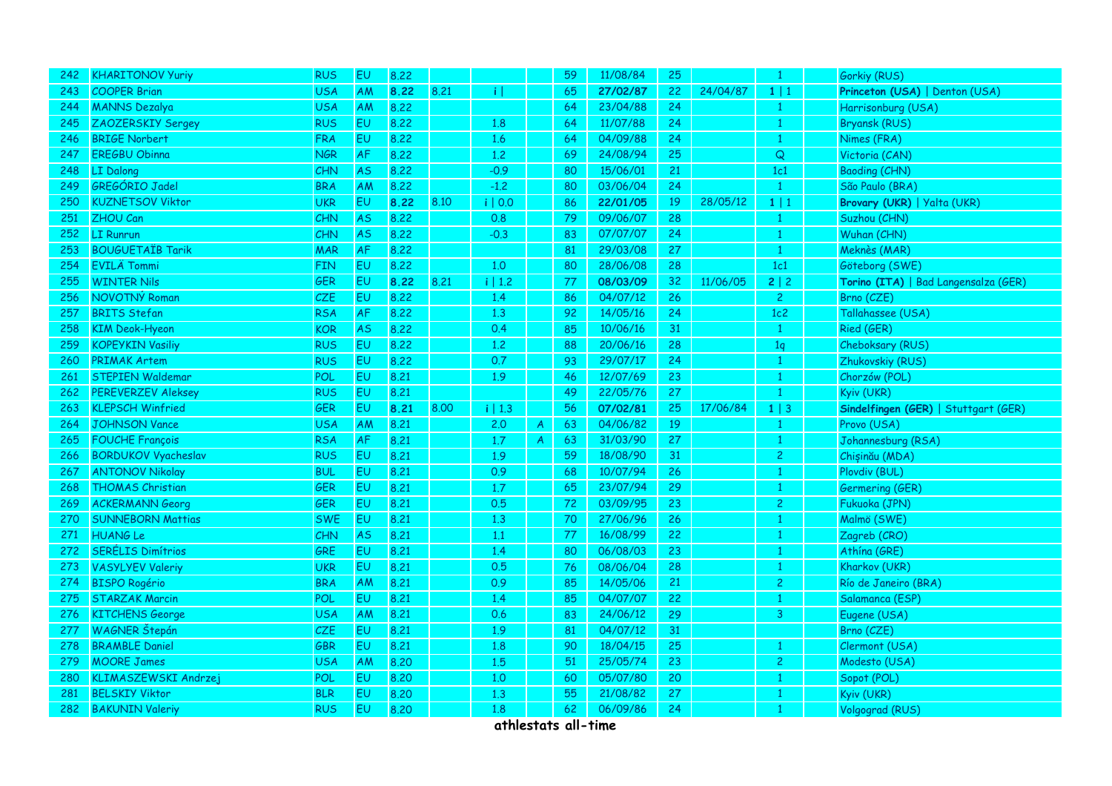| 242 | <b>KHARITONOV Yuriy</b>    | <b>RUS</b> | EU        | 8.22 |      |         |                  | 59 | 11/08/84 | 25 |          | $\mathbf{1}$   | Gorkiy (RUS)                         |
|-----|----------------------------|------------|-----------|------|------|---------|------------------|----|----------|----|----------|----------------|--------------------------------------|
| 243 | <b>COOPER Brian</b>        | <b>USA</b> | AM        | 8.22 | 8.21 | πT      |                  | 65 | 27/02/87 | 22 | 24/04/87 | $1 \mid 1$     | Princeton (USA)   Denton (USA)       |
| 244 | <b>MANNS Dezalya</b>       | <b>USA</b> | AM        | 8.22 |      |         |                  | 64 | 23/04/88 | 24 |          | $\mathbf{1}$   | Harrisonburg (USA)                   |
| 245 | ZAOZERSKIY Sergey          | <b>RUS</b> | EU        | 8.22 |      | 1.8     |                  | 64 | 11/07/88 | 24 |          | -1             | <b>Bryansk (RUS)</b>                 |
| 246 | <b>BRIGE Norbert</b>       | <b>FRA</b> | EU        | 8.22 |      | 1.6     |                  | 64 | 04/09/88 | 24 |          | $\mathbf{1}$   | Nimes (FRA)                          |
| 247 | <b>EREGBU Obinna</b>       | <b>NGR</b> | AF        | 8.22 |      | 1.2     |                  | 69 | 24/08/94 | 25 |          | $\mathsf Q$    | Victoria (CAN)                       |
| 248 | <b>LI</b> Dalong           | <b>CHN</b> | AS.       | 8.22 |      | $-0.9$  |                  | 80 | 15/06/01 | 21 |          | 1c1            | <b>Baoding (CHN)</b>                 |
| 249 | GREGÓRIO Jadel             | <b>BRA</b> | AM        | 8.22 |      | $-1,2$  |                  | 80 | 03/06/04 | 24 |          | $\mathbf{1}$   | São Paulo (BRA)                      |
| 250 | <b>KUZNETSOV Viktor</b>    | <b>UKR</b> | <b>EU</b> | 8.22 | 8.10 | i   0.0 |                  | 86 | 22/01/05 | 19 | 28/05/12 | 1 1            | Brovary (UKR)   Yalta (UKR)          |
| 251 | ZHOU Can                   | <b>CHN</b> | <b>AS</b> | 8.22 |      | 0.8     |                  | 79 | 09/06/07 | 28 |          |                | Suzhou (CHN)                         |
| 252 | LI Runrun                  | CHN        | <b>AS</b> | 8.22 |      | $-0.3$  |                  | 83 | 07/07/07 | 24 |          | $\overline{1}$ | Wuhan (CHN)                          |
| 253 | <b>BOUGUETAÏB Tarik</b>    | <b>MAR</b> | AF        | 8.22 |      |         |                  | 81 | 29/03/08 | 27 |          | $\mathbf{1}$   | Meknès (MAR)                         |
| 254 | <b>EVILA Tommi</b>         | FIN        | EU.       | 8.22 |      | 1.0     |                  | 80 | 28/06/08 | 28 |          | 1c1            | Göteborg (SWE)                       |
| 255 | <b>WINTER Nils</b>         | GER        | <b>EU</b> | 8.22 | 8.21 | i   1.2 |                  | 77 | 08/03/09 | 32 | 11/06/05 | 2 2            | Torino (ITA)   Bad Langensalza (GER) |
| 256 | NOVOTNÝ Roman              | CZE        | EU        | 8.22 |      | 1.4     |                  | 86 | 04/07/12 | 26 |          | $\overline{c}$ | Brno (CZE)                           |
| 257 | <b>BRITS Stefan</b>        | RSA        | AF        | 8.22 |      | 1.3     |                  | 92 | 14/05/16 | 24 |          | 1c2            | Tallahassee (USA)                    |
| 258 | <b>KIM Deok-Hyeon</b>      | KOR        | <b>AS</b> | 8.22 |      | 0.4     |                  | 85 | 10/06/16 | 31 |          | $\mathbf{1}$   | Ried (GER)                           |
| 259 | <b>KOPEYKIN Vasiliy</b>    | <b>RUS</b> | <b>EU</b> | 8.22 |      | 1.2     |                  | 88 | 20/06/16 | 28 |          | 1q             | Cheboksary (RUS)                     |
| 260 | <b>PRIMAK Artem</b>        | <b>RUS</b> | <b>EU</b> | 8.22 |      | 0.7     |                  | 93 | 29/07/17 | 24 |          |                | Zhukovskiy (RUS)                     |
| 261 | <b>STEPIEN Waldemar</b>    | POL        | <b>EU</b> | 8.21 |      | 1.9     |                  | 46 | 12/07/69 | 23 |          | $\mathbf{1}$   | Chorzów (POL)                        |
| 262 | <b>PEREVERZEV Aleksey</b>  | RUS        | <b>EU</b> | 8.21 |      |         |                  | 49 | 22/05/76 | 27 |          | $\mathbf{1}$   | Kyiv (UKR)                           |
| 263 | <b>KLEPSCH Winfried</b>    | GER        | <b>EU</b> | 8.21 | 8.00 | i   1.3 |                  | 56 | 07/02/81 | 25 | 17/06/84 | $1 \mid 3$     | Sindelfingen (GER)   Stuttgart (GER) |
| 264 | JOHNSON Vance              | <b>USA</b> | AM        | 8.21 |      | 2.0     | $\boldsymbol{A}$ | 63 | 04/06/82 | 19 |          | $\overline{1}$ | Provo (USA)                          |
| 265 | <b>FOUCHE François</b>     | <b>RSA</b> | AF        | 8.21 |      | 1.7     | $\mathcal{A}$    | 63 | 31/03/90 | 27 |          | $\mathbf{1}$   | Johannesburg (RSA)                   |
| 266 | <b>BORDUKOV Vyacheslav</b> | <b>RUS</b> | <b>EU</b> | 8.21 |      | 1.9     |                  | 59 | 18/08/90 | 31 |          | $\overline{c}$ | Chișinău (MDA)                       |
| 267 | <b>ANTONOV Nikolay</b>     | <b>BUL</b> | EU        | 8.21 |      | 0.9     |                  | 68 | 10/07/94 | 26 |          | $\mathbf{1}$   | Plovdiv (BUL)                        |
| 268 | <b>THOMAS Christian</b>    | GER        | EU        | 8.21 |      | 1.7     |                  | 65 | 23/07/94 | 29 |          | 1              | Germering (GER)                      |
| 269 | <b>ACKERMANN Georg</b>     | GER        | <b>EU</b> | 8.21 |      | 0.5     |                  | 72 | 03/09/95 | 23 |          | $\overline{2}$ | Fukuoka (JPN)                        |
| 270 | <b>SUNNEBORN Mattias</b>   | <b>SWE</b> | <b>EU</b> | 8.21 |      | 1.3     |                  | 70 | 27/06/96 | 26 |          | $\mathbf{1}$   | Malmö (SWE)                          |
| 271 | <b>HUANGLe</b>             | <b>CHN</b> | <b>AS</b> | 8.21 |      | 1.1     |                  | 77 | 16/08/99 | 22 |          |                | Zagreb (CRO)                         |
| 272 | <b>SERÉLIS Dimítrios</b>   | GRE        | <b>EU</b> | 8.21 |      | 1.4     |                  | 80 | 06/08/03 | 23 |          |                | Athína (GRE)                         |
| 273 | <b>VASYLYEV Valeriy</b>    | <b>UKR</b> | EU        | 8.21 |      | 0.5     |                  | 76 | 08/06/04 | 28 |          | $\mathbf{1}$   | Kharkov (UKR)                        |
| 274 | <b>BISPO Rogério</b>       | <b>BRA</b> | <b>AM</b> | 8,21 |      | 0.9     |                  | 85 | 14/05/06 | 21 |          | 2              | Río de Janeiro (BRA)                 |
| 275 | <b>STARZAK Marcin</b>      | POL        | <b>EU</b> | 8.21 |      | 1.4     |                  | 85 | 04/07/07 | 22 |          |                | Salamanca (ESP)                      |
| 276 | <b>KITCHENS George</b>     | <b>USA</b> | AM        | 8,21 |      | 0.6     |                  | 83 | 24/06/12 | 29 |          | $\mathbf{3}$   | Eugene (USA)                         |
| 277 | <b>WAGNER</b> Štepán       | <b>CZE</b> | EU        | 8.21 |      | 1.9     |                  | 81 | 04/07/12 | 31 |          |                | Brno (CZE)                           |
| 278 | <b>BRAMBLE Daniel</b>      | GBR        | <b>EU</b> | 8.21 |      | 1.8     |                  | 90 | 18/04/15 | 25 |          |                | Clermont (USA)                       |
| 279 | <b>MOORE James</b>         | <b>USA</b> | AM        | 8.20 |      | 1.5     |                  | 51 | 25/05/74 | 23 |          | 2              | Modesto (USA)                        |
| 280 | KLIMASZEWSKI Andrzej       | POL        | EU        | 8.20 |      | 1,0     |                  | 60 | 05/07/80 | 20 |          | $\mathbf{1}$   | Sopot (POL)                          |
| 281 | <b>BELSKIY Viktor</b>      | <b>BLR</b> | <b>EU</b> | 8.20 |      | 1.3     |                  | 55 | 21/08/82 | 27 |          |                | Kyiv (UKR)                           |
| 282 | <b>BAKUNIN Valeriy</b>     | <b>RUS</b> | <b>EU</b> | 8.20 |      | 1.8     |                  | 62 | 06/09/86 | 24 |          | $\mathbf{1}$   | Volgograd (RUS)                      |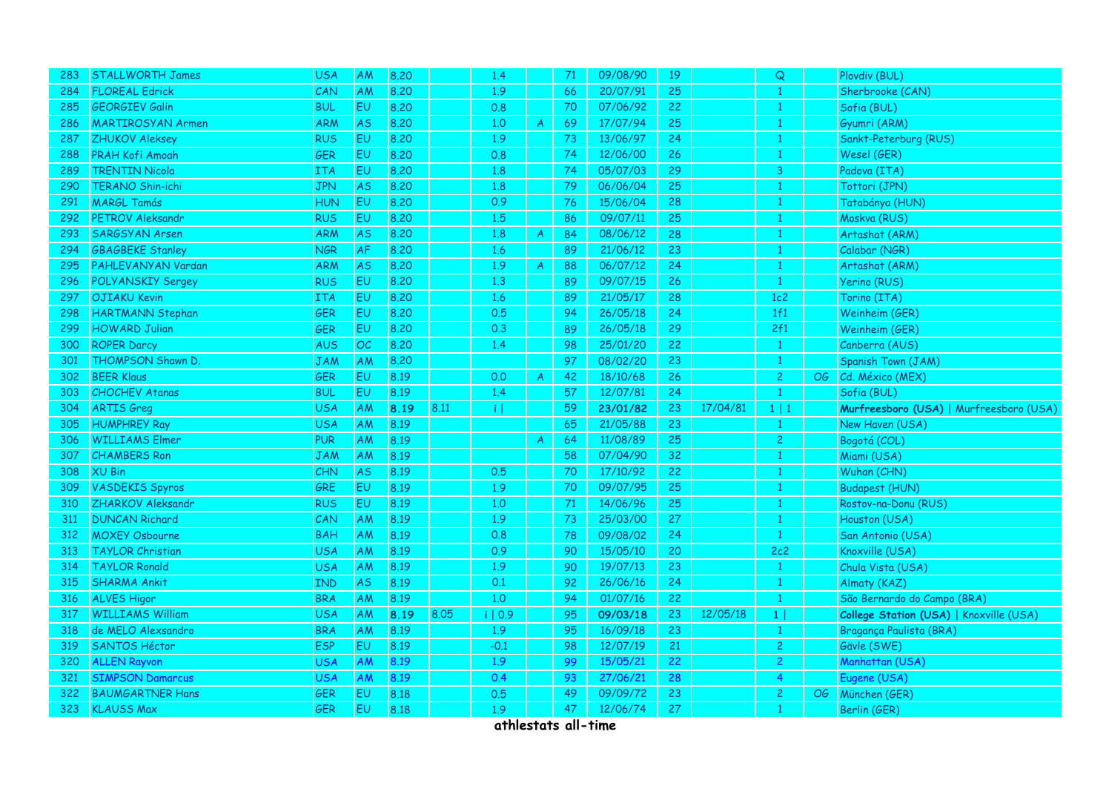| 283 | <b>STALLWORTH James</b>  | <b>USA</b> | AM        | 8.20 |      | 1.4     |                | 71 | 09/08/90 | 19 |          | Q              |                 | Plovdiv (BUL)                           |
|-----|--------------------------|------------|-----------|------|------|---------|----------------|----|----------|----|----------|----------------|-----------------|-----------------------------------------|
| 284 | <b>FLOREAL Edrick</b>    | CAN        | AM        | 8.20 |      | 1.9     |                | 66 | 20/07/91 | 25 |          | $\mathbf{1}$   |                 | Sherbrooke (CAN)                        |
| 285 | <b>GEORGIEV Galin</b>    | <b>BUL</b> | EU        | 8.20 |      | 0.8     |                | 70 | 07/06/92 | 22 |          | $\mathbf{1}$   |                 | Sofia (BUL)                             |
| 286 | <b>MARTIROSYAN Armen</b> | ARM        | <b>AS</b> | 8.20 |      | 1.0     | $\mathcal{A}$  | 69 | 17/07/94 | 25 |          | $\mathbf{1}$   |                 | Gyumri (ARM)                            |
| 287 | <b>ZHUKOV Aleksey</b>    | <b>RUS</b> | <b>EU</b> | 8.20 |      | 1.9     |                | 73 | 13/06/97 | 24 |          | $\mathbf{1}$   |                 | Sankt-Peterburg (RUS)                   |
| 288 | <b>PRAH Kofi Amoah</b>   | GER        | <b>EU</b> | 8.20 |      | 0.8     |                | 74 | 12/06/00 | 26 |          | $\mathbf{1}$   |                 | Wesel (GER)                             |
| 289 | <b>TRENTIN Nicola</b>    | ITA        | EU        | 8.20 |      | 1.8     |                | 74 | 05/07/03 | 29 |          | 3              |                 | Padova (ITA)                            |
| 290 | <b>TERANO Shin-ichi</b>  | <b>JPN</b> | <b>AS</b> | 8.20 |      | 1.8     |                | 79 | 06/06/04 | 25 |          | $\mathbf{1}$   |                 | Tottori (JPN)                           |
| 291 | <b>MARGL Tamás</b>       | <b>HUN</b> | EU        | 8.20 |      | 0.9     |                | 76 | 15/06/04 | 28 |          | $\mathbf{1}$   |                 | Tatabánya (HUN)                         |
| 292 | <b>PETROV Aleksandr</b>  | <b>RUS</b> | <b>EU</b> | 8.20 |      | 1.5     |                | 86 | 09/07/11 | 25 |          | $\mathbf{1}$   |                 | Moskva (RUS)                            |
| 293 | SARGSYAN Arsen           | ARM        | <b>AS</b> | 8.20 |      | 1.8     | $\overline{A}$ | 84 | 08/06/12 | 28 |          | $\mathbf{1}$   |                 | Artashat (ARM)                          |
| 294 | <b>GBAGBEKE Stanley</b>  | <b>NGR</b> | AF        | 8.20 |      | 1.6     |                | 89 | 21/06/12 | 23 |          | $\mathbf{1}$   |                 | Calabar (NGR)                           |
| 295 | PAHLEVANYAN Vardan       | ARM        | <b>AS</b> | 8.20 |      | 1.9     | $\mathsf{A}$   | 88 | 06/07/12 | 24 |          | $\mathbf{1}$   |                 | Artashat (ARM)                          |
| 296 | <b>POLYANSKIY Sergey</b> | <b>RUS</b> | <b>EU</b> | 8,20 |      | 1.3     |                | 89 | 09/07/15 | 26 |          | $\mathbf{1}$   |                 | <b>Yerino (RUS)</b>                     |
| 297 | <b>OJIAKU Kevin</b>      | <b>ITA</b> | EU        | 8.20 |      | 1.6     |                | 89 | 21/05/17 | 28 |          | 1c2            |                 | Torino (ITA)                            |
| 298 | <b>HARTMANN Stephan</b>  | GER        | EU        | 8.20 |      | 0.5     |                | 94 | 26/05/18 | 24 |          | 1f1            |                 | Weinheim (GER)                          |
| 299 | <b>HOWARD Julian</b>     | GER        | EU        | 8,20 |      | 0.3     |                | 89 | 26/05/18 | 29 |          | 2f1            |                 | Weinheim (GER)                          |
| 300 | <b>ROPER Darcy</b>       | <b>AUS</b> | OC        | 8.20 |      | 1.4     |                | 98 | 25/01/20 | 22 |          | $\mathbf{1}$   |                 | Canberra (AUS)                          |
| 301 | THOMPSON Shawn D.        | <b>JAM</b> | AM        | 8.20 |      |         |                | 97 | 08/02/20 | 23 |          | $\mathbf{1}$   |                 | Spanish Town (JAM)                      |
| 302 | <b>BEER Klaus</b>        | GER        | <b>EU</b> | 8.19 |      | 0.0     | $\mathcal{A}$  | 42 | 18/10/68 | 26 |          | $\overline{c}$ | OG              | Cd. México (MEX)                        |
| 303 | <b>CHOCHEV Atanas</b>    | <b>BUL</b> | EU        | 8.19 |      | 1.4     |                | 57 | 12/07/81 | 24 |          | $\mathbf{1}$   |                 | Sofia (BUL)                             |
| 304 | <b>ARTIS Greg</b>        | <b>USA</b> | <b>AM</b> | 8.19 | 8.11 | ïΙ      |                | 59 | 23/01/82 | 23 | 17/04/81 | $1 \mid 1$     |                 | Murfreesboro (USA)   Murfreesboro (USA) |
| 305 | <b>HUMPHREY Ray</b>      | <b>USA</b> | AM        | 8.19 |      |         |                | 65 | 21/05/88 | 23 |          | $\mathbf{1}$   |                 | New Haven (USA)                         |
| 306 | <b>WILLIAMS Elmer</b>    | <b>PUR</b> | AM        | 8.19 |      |         | $\mathcal{A}$  | 64 | 11/08/89 | 25 |          | $\overline{c}$ |                 | Bogotá (COL)                            |
| 307 | <b>CHAMBERS Ron</b>      | <b>JAM</b> | AM        | 8.19 |      |         |                | 58 | 07/04/90 | 32 |          | $\mathbf{1}$   |                 | Miami (USA)                             |
| 308 | <b>XU Bin</b>            | <b>CHN</b> | <b>AS</b> | 8.19 |      | 0.5     |                | 70 | 17/10/92 | 22 |          | $\mathbf{1}$   |                 | Wuhan (CHN)                             |
| 309 | <b>VASDEKIS Spyros</b>   | GRE        | <b>EU</b> | 8.19 |      | 1.9     |                | 70 | 09/07/95 | 25 |          | 1              |                 | <b>Budapest (HUN)</b>                   |
| 310 | ZHARKOV Aleksandr        | <b>RUS</b> | EU        | 8.19 |      | 1.0     |                | 71 | 14/06/96 | 25 |          | $\mathbf{1}$   |                 | Rostov-na-Donu (RUS)                    |
| 311 | <b>DUNCAN Richard</b>    | CAN        | AM        | 8.19 |      | 1.9     |                | 73 | 25/03/00 | 27 |          | $\mathbf{1}$   |                 | Houston (USA)                           |
| 312 | <b>MOXEY Osbourne</b>    | <b>BAH</b> | <b>AM</b> | 8.19 |      | 0.8     |                | 78 | 09/08/02 | 24 |          | $\mathbf{1}$   |                 | San Antonio (USA)                       |
| 313 | <b>TAYLOR Christian</b>  | <b>USA</b> | AM        | 8.19 |      | 0.9     |                | 90 | 15/05/10 | 20 |          | 2c2            |                 | Knoxville (USA)                         |
| 314 | <b>TAYLOR Ronald</b>     | <b>USA</b> | AM        | 8.19 |      | 1.9     |                | 90 | 19/07/13 | 23 |          | $\mathbf{1}$   |                 | Chula Vista (USA)                       |
| 315 | <b>SHARMA Ankit</b>      | <b>IND</b> | <b>AS</b> | 8.19 |      | 0.1     |                | 92 | 26/06/16 | 24 |          | $\mathbf{1}$   |                 | Almaty (KAZ)                            |
| 316 | <b>ALVES Higor</b>       | <b>BRA</b> | <b>AM</b> | 8.19 |      | 1.0     |                | 94 | 01/07/16 | 22 |          | $\mathbf{1}$   |                 | São Bernardo do Campo (BRA)             |
| 317 | <b>WILLIAMS William</b>  | <b>USA</b> | AM        | 8.19 | 8.05 | i   0.9 |                | 95 | 09/03/18 | 23 | 12/05/18 | 1              |                 | College Station (USA)   Knoxville (USA) |
| 318 | de MELO Alexsandro       | <b>BRA</b> | AM        | 8.19 |      | 1.9     |                | 95 | 16/09/18 | 23 |          | $\mathbf{1}$   |                 | Bragança Paulista (BRA)                 |
| 319 | <b>SANTOS Héctor</b>     | <b>ESP</b> | <b>EU</b> | 8.19 |      | $-0.1$  |                | 98 | 12/07/19 | 21 |          | $\overline{c}$ |                 | Gävle (SWE)                             |
| 320 | <b>ALLEN Rayvon</b>      | <b>USA</b> | AM        | 8.19 |      | 1.9     |                | 99 | 15/05/21 | 22 |          | $\overline{2}$ |                 | Manhattan (USA)                         |
| 321 | <b>SIMPSON Damarcus</b>  | USA        | AM        | 8.19 |      | 0.4     |                | 93 | 27/06/21 | 28 |          | $\overline{4}$ |                 | Eugene (USA)                            |
| 322 | <b>BAUMGARTNER Hans</b>  | GER        | <b>EU</b> | 8.18 |      | 0.5     |                | 49 | 09/09/72 | 23 |          | $\overline{c}$ | $\overline{OG}$ | München (GER)                           |
| 323 | <b>KLAUSS Max</b>        | GER        | EU        | 8.18 |      | 1.9     |                | 47 | 12/06/74 | 27 |          | $\mathbf{1}$   |                 | Berlin (GER)                            |
|     |                          |            |           |      |      |         |                |    |          |    |          |                |                 |                                         |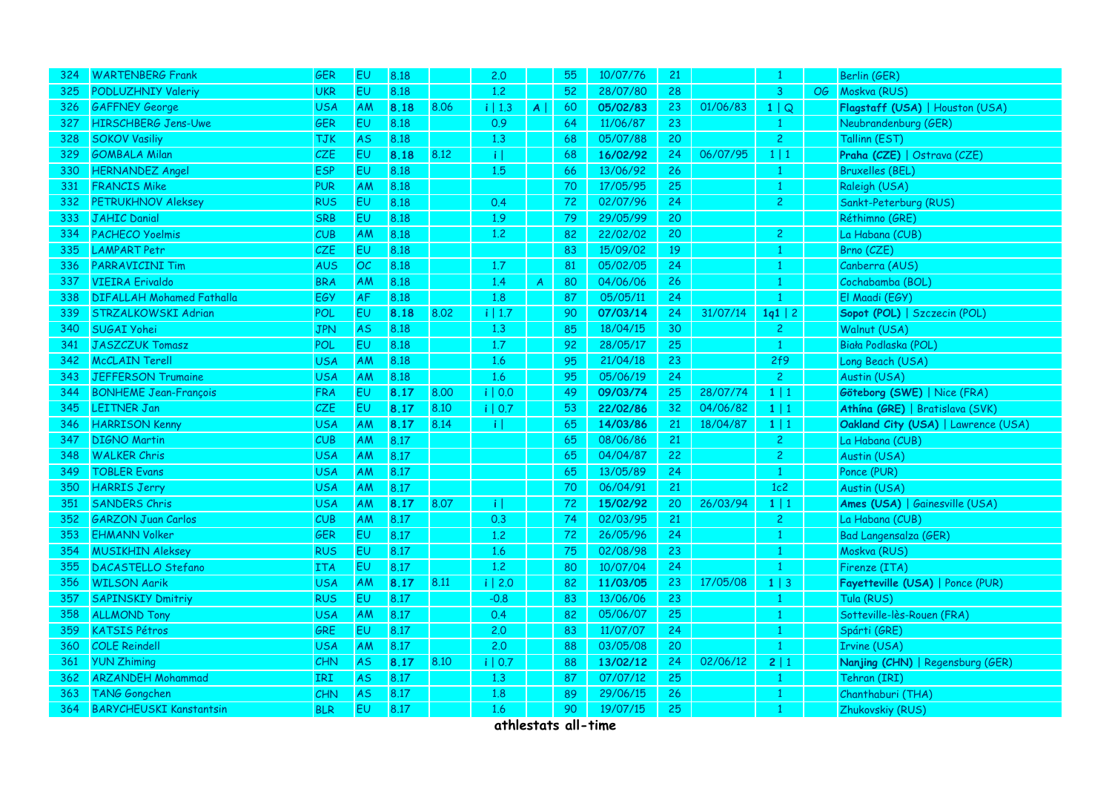| 324 | <b>WARTENBERG Frank</b>          | <b>GER</b> | EU        | 8.18 |      | 2.0                   |                | 55 | 10/07/76 | 21              |          |                |    | Berlin (GER)                        |
|-----|----------------------------------|------------|-----------|------|------|-----------------------|----------------|----|----------|-----------------|----------|----------------|----|-------------------------------------|
| 325 | <b>PODLUZHNIY Valeriy</b>        | <b>UKR</b> | EU        | 8.18 |      | 1.2                   |                | 52 | 28/07/80 | 28              |          | $\mathbf{3}$   | OG | Moskva (RUS)                        |
| 326 | <b>GAFFNEY George</b>            | <b>USA</b> | AM        | 8.18 | 8.06 | i   1.3               | $\mathsf{A}$   | 60 | 05/02/83 | 23              | 01/06/83 | 1   Q          |    | Flagstaff (USA)   Houston (USA)     |
| 327 | <b>HIRSCHBERG Jens-Uwe</b>       | GER        | EU        | 8.18 |      | 0.9                   |                | 64 | 11/06/87 | 23              |          |                |    | Neubrandenburg (GER)                |
| 328 | <b>SOKOV Vasiliy</b>             | <b>TJK</b> | <b>AS</b> | 8.18 |      | 1.3                   |                | 68 | 05/07/88 | 20              |          | $\mathbf{2}$   |    | Tallinn (EST)                       |
| 329 | <b>GOMBALA Milan</b>             | CZE        | EU        | 8.18 | 8.12 | $\lceil \cdot \rceil$ |                | 68 | 16/02/92 | 24              | 06/07/95 | 1 1            |    | Praha (CZE)   Ostrava (CZE)         |
| 330 | <b>HERNANDEZ Angel</b>           | <b>ESP</b> | EU        | 8.18 |      | 1.5                   |                | 66 | 13/06/92 | 26              |          |                |    | <b>Bruxelles (BEL)</b>              |
| 331 | <b>FRANCIS Mike</b>              | <b>PUR</b> | AM        | 8.18 |      |                       |                | 70 | 17/05/95 | 25 <sub>2</sub> |          | $\mathbf{1}$   |    | Raleigh (USA)                       |
| 332 | <b>PETRUKHNOV Aleksey</b>        | <b>RUS</b> | EU        | 8.18 |      | 0.4                   |                | 72 | 02/07/96 | 24              |          | $\mathbf{2}$   |    | Sankt-Peterburg (RUS)               |
| 333 | <b>JAHIC Danial</b>              | <b>SRB</b> | EU        | 8.18 |      | 1.9                   |                | 79 | 29/05/99 | 20              |          |                |    | Réthimno (GRE)                      |
| 334 | <b>PACHECO Yoelmis</b>           | CUB        | AM        | 8.18 |      | 1.2                   |                | 82 | 22/02/02 | 20              |          | $\overline{2}$ |    | La Habana (CUB)                     |
| 335 | <b>LAMPART Petr</b>              | CZE        | EU        | 8.18 |      |                       |                | 83 | 15/09/02 | 19              |          | $\mathbf{1}$   |    | Brno (CZE)                          |
| 336 | <b>PARRAVICINI Tim</b>           | <b>AUS</b> | OC        | 8.18 |      | 1.7                   |                | 81 | 05/02/05 | 24              |          | 1              |    | Canberra (AUS)                      |
| 337 | <b>VIEIRA</b> Erivaldo           | <b>BRA</b> | AM        | 8.18 |      | 1.4                   | $\overline{A}$ | 80 | 04/06/06 | 26              |          |                |    | Cochabamba (BOL)                    |
| 338 | <b>DIFALLAH Mohamed Fathalla</b> | EGY        | AF        | 8.18 |      | 1.8                   |                | 87 | 05/05/11 | 24              |          |                |    | El Maadi (EGY)                      |
| 339 | STRZALKOWSKI Adrian              | <b>POL</b> | EU        | 8.18 | 8.02 | i   1.7               |                | 90 | 07/03/14 | 24              | 31/07/14 | 1q1   2        |    | Sopot (POL)   Szczecin (POL)        |
| 340 | SUGAI Yohei                      | <b>JPN</b> | <b>AS</b> | 8.18 |      | 1.3                   |                | 85 | 18/04/15 | 30              |          | $\overline{2}$ |    | Walnut (USA)                        |
| 341 | JASZCZUK Tomasz                  | POL        | EU        | 8.18 |      | 1.7                   |                | 92 | 28/05/17 | 25              |          | $\mathbf{1}$   |    | Biała Podlaska (POL)                |
| 342 | <b>McCLAIN Terell</b>            | <b>USA</b> | AM        | 8.18 |      | 1.6                   |                | 95 | 21/04/18 | 23              |          | 2f9            |    | Long Beach (USA)                    |
| 343 | <b>JEFFERSON Trumaine</b>        | <b>USA</b> | AM        | 8.18 |      | 1.6                   |                | 95 | 05/06/19 | 24              |          | $\overline{2}$ |    | Austin (USA)                        |
| 344 | <b>BONHEME Jean-François</b>     | FRA        | EU        | 8.17 | 8.00 | i   0.0               |                | 49 | 09/03/74 | 25              | 28/07/74 | $1 \mid 1$     |    | Göteborg (SWE)   Nice (FRA)         |
| 345 | <b>LEITNER Jan</b>               | CZE        | EU        | 8.17 | 8.10 | i   0.7               |                | 53 | 22/02/86 | 32              | 04/06/82 | $1 \mid 1$     |    | Athína (GRE)   Bratislava (SVK)     |
| 346 | <b>HARRISON Kenny</b>            | <b>USA</b> | AM        | 8.17 | 8.14 | $\lceil i \rceil$     |                | 65 | 14/03/86 | 21              | 18/04/87 | $1 \mid 1$     |    | Oakland City (USA)   Lawrence (USA) |
| 347 | <b>DIGNO Martin</b>              | CUB        | AM        | 8.17 |      |                       |                | 65 | 08/06/86 | 21              |          | $\overline{2}$ |    | La Habana (CUB)                     |
| 348 | <b>WALKER Chris</b>              | <b>USA</b> | AM        | 8.17 |      |                       |                | 65 | 04/04/87 | 22              |          | $\overline{c}$ |    | Austin (USA)                        |
| 349 | <b>TOBLER Evans</b>              | <b>USA</b> | AM        | 8.17 |      |                       |                | 65 | 13/05/89 | 24              |          | $\mathbf{1}$   |    | Ponce (PUR)                         |
| 350 | <b>HARRIS Jerry</b>              | <b>USA</b> | AM        | 8.17 |      |                       |                | 70 | 06/04/91 | 21              |          | 1c2            |    | Austin (USA)                        |
| 351 | <b>SANDERS Chris</b>             | <b>USA</b> | AM        | 8.17 | 8.07 | $\lceil \cdot \rceil$ |                | 72 | 15/02/92 | 20              | 26/03/94 | $1 \mid 1$     |    | Ames (USA)   Gainesville (USA)      |
| 352 | <b>GARZON Juan Carlos</b>        | CUB        | AM        | 8.17 |      | 0.3                   |                | 74 | 02/03/95 | 21              |          | $\overline{2}$ |    | La Habana (CUB)                     |
| 353 | <b>EHMANN Volker</b>             | <b>GER</b> | EU        | 8.17 |      | 1.2                   |                | 72 | 26/05/96 | 24              |          | $\mathbf{1}$   |    | <b>Bad Langensalza (GER)</b>        |
| 354 | <b>MUSIKHIN Aleksey</b>          | <b>RUS</b> | <b>EU</b> | 8.17 |      | 1.6                   |                | 75 | 02/08/98 | 23              |          | 1              |    | Moskva (RUS)                        |
| 355 | <b>DACASTELLO Stefano</b>        | <b>ITA</b> | EU        | 8.17 |      | 1.2                   |                | 80 | 10/07/04 | 24              |          | $\mathbf{1}$   |    | Firenze (ITA)                       |
| 356 | <b>WILSON Aarik</b>              | <b>USA</b> | AM        | 8.17 | 8.11 | $i$   2.0             |                | 82 | 11/03/05 | 23              | 17/05/08 | $1 \mid 3$     |    | Fayetteville (USA)   Ponce (PUR)    |
| 357 | <b>SAPINSKIY Dmitriy</b>         | <b>RUS</b> | EU        | 8.17 |      | $-0.8$                |                | 83 | 13/06/06 | 23              |          | $\mathbf{1}$   |    | Tula (RUS)                          |
| 358 | <b>ALLMOND Tony</b>              | <b>USA</b> | AM        | 8.17 |      | 0.4                   |                | 82 | 05/06/07 | 25              |          | $\overline{1}$ |    | Sotteville-lès-Rouen (FRA)          |
| 359 | <b>KATSIS Pétros</b>             | <b>GRE</b> | EU        | 8.17 |      | 2.0                   |                | 83 | 11/07/07 | 24              |          |                |    | Spárti (GRE)                        |
| 360 | <b>COLE Reindell</b>             | <b>USA</b> | AM        | 8.17 |      | 2.0                   |                | 88 | 03/05/08 | 20              |          | $\mathbf{1}$   |    | Irvine (USA)                        |
| 361 | <b>YUN Zhiming</b>               | <b>CHN</b> | <b>AS</b> | 8.17 | 8.10 | i   0.7               |                | 88 | 13/02/12 | 24              | 02/06/12 | 2 1            |    | Nanjing (CHN)   Regensburg (GER)    |
| 362 | <b>ARZANDEH Mohammad</b>         | IRI        | <b>AS</b> | 8.17 |      | 1.3                   |                | 87 | 07/07/12 | 25              |          | $\mathbf{1}$   |    | Tehran (IRI)                        |
| 363 | TANG Gongchen                    | CHN        | <b>AS</b> | 8.17 |      | 1.8                   |                | 89 | 29/06/15 | 26              |          | $\mathbf{1}$   |    | Chanthaburi (THA)                   |
| 364 | <b>BARYCHEUSKI Kanstantsin</b>   | <b>BLR</b> | EU        | 8.17 |      | 1.6                   |                | 90 | 19/07/15 | 25              |          | $\mathbf{1}$   |    | Zhukovskiy (RUS)                    |
|     |                                  |            |           |      |      |                       |                |    |          |                 |          |                |    |                                     |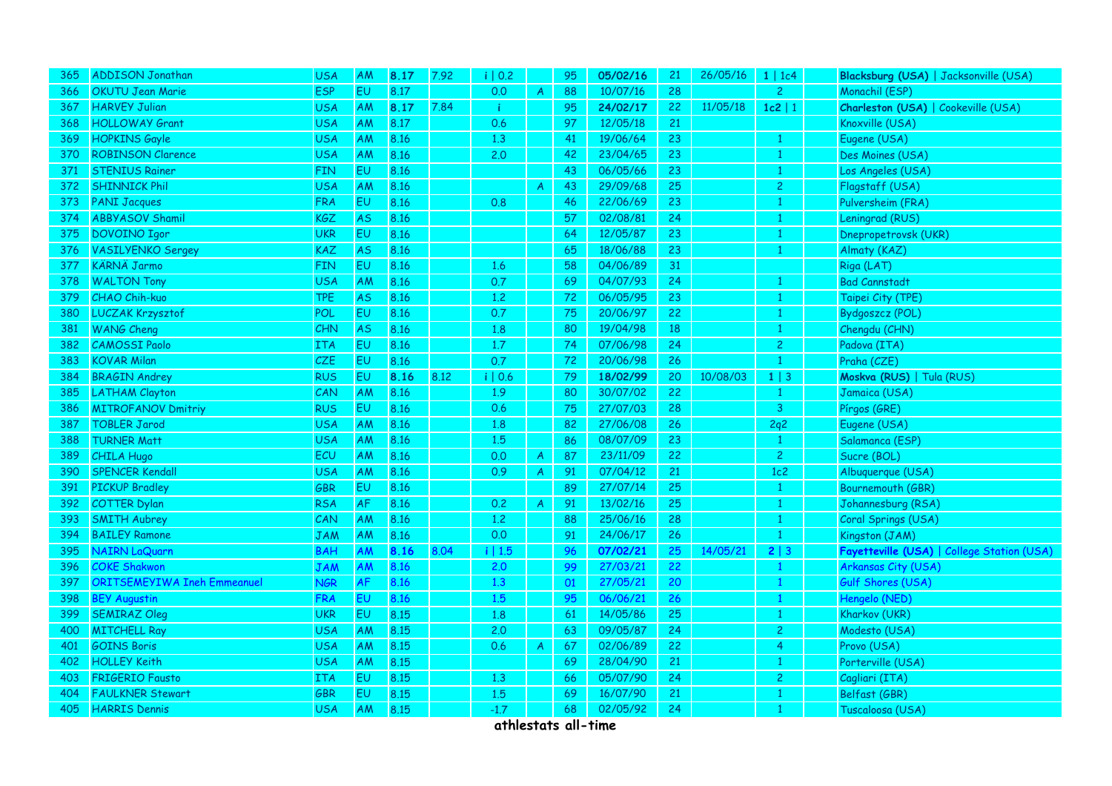| 365 | <b>ADDISON Jonathan</b>            | <b>USA</b> | <b>AM</b> | 8.17 | 7.92 | i   0.2 |                | 95 | 05/02/16 | 21              | 26/05/16 | 1   1c4        | Blacksburg (USA)   Jacksonville (USA)      |
|-----|------------------------------------|------------|-----------|------|------|---------|----------------|----|----------|-----------------|----------|----------------|--------------------------------------------|
| 366 | <b>OKUTU Jean Marie</b>            | <b>ESP</b> | <b>EU</b> | 8.17 |      | 0.0     | $\overline{A}$ | 88 | 10/07/16 | 28              |          | $\overline{2}$ | Monachil (ESP)                             |
| 367 | <b>HARVEY Julian</b>               | <b>USA</b> | AM        | 8.17 | 7.84 | ÷       |                | 95 | 24/02/17 | 22              | 11/05/18 | $1c2$   1      | Charleston (USA)   Cookeville (USA)        |
| 368 | <b>HOLLOWAY Grant</b>              | <b>USA</b> | AM        | 8.17 |      | 0.6     |                | 97 | 12/05/18 | 21              |          |                | Knoxville (USA)                            |
| 369 | <b>HOPKINS Gayle</b>               | <b>USA</b> | AM        | 8.16 |      | 1.3     |                | 41 | 19/06/64 | 23              |          | $\mathbf{1}$   | Eugene (USA)                               |
| 370 | <b>ROBINSON Clarence</b>           | <b>USA</b> | AM        | 8.16 |      | 2.0     |                | 42 | 23/04/65 | 23              |          | $\mathbf{1}$   | Des Moines (USA)                           |
| 371 | <b>STENIUS Rainer</b>              | <b>FIN</b> | EU.       | 8.16 |      |         |                | 43 | 06/05/66 | 23              |          | 1              | Los Angeles (USA)                          |
| 372 | <b>SHINNICK Phil</b>               | <b>USA</b> | AM        | 8.16 |      |         | $\mathsf{A}$   | 43 | 29/09/68 | 25 <sub>2</sub> |          | $\overline{c}$ | Flagstaff (USA)                            |
| 373 | <b>PANI Jacques</b>                | <b>FRA</b> | EU        | 8.16 |      | 0.8     |                | 46 | 22/06/69 | 23              |          | 1              | Pulversheim (FRA)                          |
| 374 | <b>ABBYASOV Shamil</b>             | KGZ        | <b>AS</b> | 8.16 |      |         |                | 57 | 02/08/81 | 24              |          | $\mathbf{1}$   | Leningrad (RUS)                            |
| 375 | DOVOINO Igor                       | <b>UKR</b> | EU        | 8.16 |      |         |                | 64 | 12/05/87 | 23              |          | $\mathbf{1}$   | Dnepropetrovsk (UKR)                       |
| 376 | <b>VASILYENKO Sergey</b>           | <b>KAZ</b> | <b>AS</b> | 8.16 |      |         |                | 65 | 18/06/88 | 23              |          | $\mathbf{1}$   | Almaty (KAZ)                               |
| 377 | <b>KÄRNÄ Jarmo</b>                 | <b>FIN</b> | EU        | 8.16 |      | 1.6     |                | 58 | 04/06/89 | 31              |          |                | Riga (LAT)                                 |
| 378 | <b>WALTON Tony</b>                 | <b>USA</b> | AM        | 8.16 |      | 0.7     |                | 69 | 04/07/93 | 24              |          |                | <b>Bad Cannstadt</b>                       |
| 379 | <b>CHAO Chih-kuo</b>               | TPE        | AS        | 8.16 |      | $1.2\,$ |                | 72 | 06/05/95 | 23              |          | $\mathbf{1}$   | Taipei City (TPE)                          |
| 380 | LUCZAK Krzysztof                   | POL        | EU        | 8.16 |      | 0.7     |                | 75 | 20/06/97 | 22              |          | $\mathbf{1}$   | Bydgoszcz (POL)                            |
| 381 | <b>WANG Cheng</b>                  | CHN        | <b>AS</b> | 8.16 |      | 1.8     |                | 80 | 19/04/98 | 18              |          | $\mathbf{1}$   | Chengdu (CHN)                              |
| 382 | <b>CAMOSSI Paolo</b>               | <b>ITA</b> | EU        | 8.16 |      | $1.7\,$ |                | 74 | 07/06/98 | 24              |          | $\overline{2}$ | Padova (ITA)                               |
| 383 | <b>KOVAR Milan</b>                 | CZE        | EU        | 8.16 |      | 0.7     |                | 72 | 20/06/98 | 26              |          | $\mathbf{1}$   | Praha (CZE)                                |
| 384 | <b>BRAGIN Andrey</b>               | <b>RUS</b> | EU        | 8.16 | 8.12 | i   0.6 |                | 79 | 18/02/99 | 20              | 10/08/03 | $1 \mid 3$     | Moskva (RUS)   Tula (RUS)                  |
| 385 | <b>LATHAM Clayton</b>              | CAN        | AM        | 8.16 |      | 1.9     |                | 80 | 30/07/02 | 22              |          | -1             | Jamaica (USA)                              |
| 386 | <b>MITROFANOV Dmitriy</b>          | <b>RUS</b> | EU        | 8.16 |      | 0.6     |                | 75 | 27/07/03 | 28              |          | $\mathbf{3}$   | Pírgos (GRE)                               |
| 387 | <b>TOBLER Jarod</b>                | <b>USA</b> | AM        | 8.16 |      | 1.8     |                | 82 | 27/06/08 | 26              |          | 2q2            | Eugene (USA)                               |
| 388 | <b>TURNER Matt</b>                 | <b>USA</b> | AM        | 8.16 |      | 1.5     |                | 86 | 08/07/09 | 23              |          | $\mathbf{1}$   | Salamanca (ESP)                            |
| 389 | <b>CHILA Hugo</b>                  | ECU        | AM        | 8.16 |      | 0.0     | $\mathsf{A}$   | 87 | 23/11/09 | 22              |          | $\overline{2}$ | Sucre (BOL)                                |
| 390 | <b>SPENCER Kendall</b>             | <b>USA</b> | AM        | 8.16 |      | 0.9     | $\overline{A}$ | 91 | 07/04/12 | 21              |          | 1c2            | Albuquerque (USA)                          |
| 391 | <b>PICKUP Bradley</b>              | GBR        | EU        | 8.16 |      |         |                | 89 | 27/07/14 | 25              |          | $\mathbf{1}$   | Bournemouth (GBR)                          |
| 392 | <b>COTTER Dylan</b>                | <b>RSA</b> | AF        | 8.16 |      | 0.2     | $\mathsf{A}$   | 91 | 13/02/16 | 25              |          | $\mathbf{1}$   | Johannesburg (RSA)                         |
| 393 | <b>SMITH Aubrey</b>                | CAN        | AM        | 8.16 |      | 1.2     |                | 88 | 25/06/16 | 28              |          | $\mathbf{1}$   | Coral Springs (USA)                        |
| 394 | <b>BAILEY Ramone</b>               | JAM        | AM        | 8.16 |      | 0.0     |                | 91 | 24/06/17 | 26              |          | $\mathbf{1}$   | Kingston (JAM)                             |
| 395 | <b>NAIRN LaQuarn</b>               | <b>BAH</b> | AM        | 8.16 | 8.04 | i   1.5 |                | 96 | 07/02/21 | 25              | 14/05/21 | 2 3            | Fayetteville (USA)   College Station (USA) |
| 396 | <b>COKE Shakwon</b>                | <b>JAM</b> | AM        | 8.16 |      | 2.0     |                | 99 | 27/03/21 | 22              |          | $\mathbf{1}$   | Arkansas City (USA)                        |
| 397 | <b>ORITSEMEYIWA Ineh Emmeanuel</b> | JGR        | AF        | 8.16 |      | 1.3     |                | 01 | 27/05/21 | 20              |          | $\mathbf{1}$   | Gulf Shores (USA)                          |
| 398 | <b>BEY Augustin</b>                | <b>FRA</b> | <b>EU</b> | 8.16 |      | 1.5     |                | 95 | 06/06/21 | 26              |          | $\mathbf{1}$   | Hengelo (NED)                              |
| 399 | <b>SEMIRAZ Oleg</b>                | <b>UKR</b> | EU        | 8.15 |      | 1.8     |                | 61 | 14/05/86 | 25              |          | $\mathbf{1}$   | Kharkov (UKR)                              |
| 400 | <b>MITCHELL Ray</b>                | <b>USA</b> | AM        | 8.15 |      | 2.0     |                | 63 | 09/05/87 | 24              |          | $\overline{2}$ | Modesto (USA)                              |
| 401 | <b>GOINS Boris</b>                 | <b>USA</b> | AM        | 8.15 |      | 0.6     | $\mathsf{A}$   | 67 | 02/06/89 | 22              |          | 4              | Provo (USA)                                |
| 402 | <b>HOLLEY Keith</b>                | <b>USA</b> | AM        | 8.15 |      |         |                | 69 | 28/04/90 | 21              |          |                | Porterville (USA)                          |
| 403 | <b>FRIGERIO Fausto</b>             | ITA        | EU        | 8.15 |      | 1.3     |                | 66 | 05/07/90 | 24              |          | $\mathbf{2}$   | Cagliari (ITA)                             |
| 404 | <b>FAULKNER Stewart</b>            | GBR        | EU        | 8.15 |      | 1.5     |                | 69 | 16/07/90 | 21              |          | $\mathbf{1}$   | Belfast (GBR)                              |
| 405 | <b>HARRIS Dennis</b>               | <b>USA</b> | AM        | 8.15 |      | $-1.7$  |                | 68 | 02/05/92 | 24              |          | $\mathbf{1}$   | Tuscaloosa (USA)                           |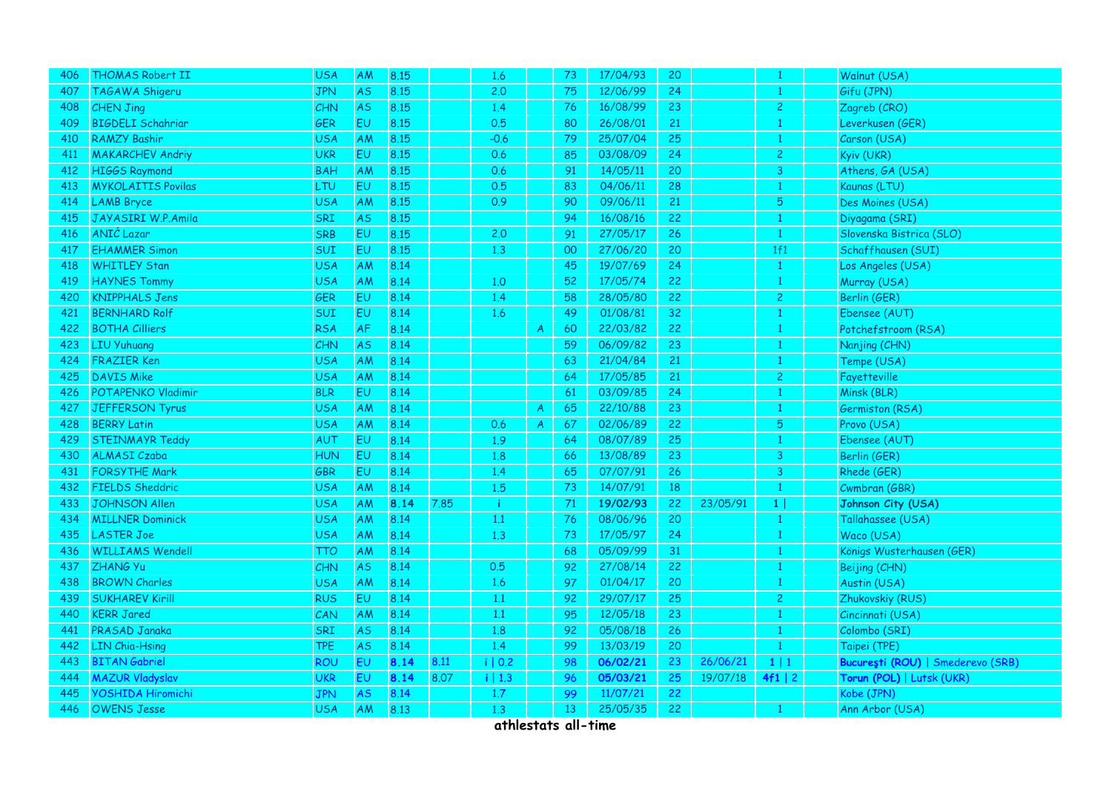| 406 | <b>THOMAS Robert II</b>   | <b>USA</b> | <b>AM</b> | 8.15 |      | 1.6     |               | 73 | 17/04/93 | 20 |          | 1              | Walnut (USA)                      |
|-----|---------------------------|------------|-----------|------|------|---------|---------------|----|----------|----|----------|----------------|-----------------------------------|
| 407 | TAGAWA Shigeru            | <b>JPN</b> | <b>AS</b> | 8.15 |      | 2.0     |               | 75 | 12/06/99 | 24 |          | 1              | Gifu (JPN)                        |
| 408 | <b>CHEN Jing</b>          | CHN        | <b>AS</b> | 8.15 |      | 1.4     |               | 76 | 16/08/99 | 23 |          | $\overline{c}$ | Zagreb (CRO)                      |
| 409 | <b>BIGDELI Schahriar</b>  | <b>GER</b> | EU        | 8.15 |      | 0.5     |               | 80 | 26/08/01 | 21 |          | $\mathbf{1}$   | Leverkusen (GER)                  |
| 410 | <b>RAMZY Bashir</b>       | <b>USA</b> | AM        | 8.15 |      | $-0.6$  |               | 79 | 25/07/04 | 25 |          | $\mathbf{1}$   | Carson (USA)                      |
| 411 | <b>MAKARCHEV Andriy</b>   | <b>UKR</b> | EU        | 8.15 |      | 0.6     |               | 85 | 03/08/09 | 24 |          | $\overline{c}$ | Kyiv (UKR)                        |
| 412 | <b>HIGGS Raymond</b>      | <b>BAH</b> | AM        | 8.15 |      | 0.6     |               | 91 | 14/05/11 | 20 |          | 3              | Athens, GA (USA)                  |
| 413 | <b>MYKOLAITIS Povilas</b> | LTU        | EU        | 8.15 |      | 0.5     |               | 83 | 04/06/11 | 28 |          | $\mathbf{1}$   | Kaunas (LTU)                      |
| 414 | <b>LAMB</b> Bryce         | <b>USA</b> | AM        | 8.15 |      | 0.9     |               | 90 | 09/06/11 | 21 |          | 5              | Des Moines (USA)                  |
| 415 | JAYASIRI W.P.Amila        | <b>SRI</b> | <b>AS</b> | 8.15 |      |         |               | 94 | 16/08/16 | 22 |          | $\mathbf{1}$   | Diyagama (SRI)                    |
| 416 | ANIĆ Lazar                | <b>SRB</b> | EU        | 8.15 |      | 2.0     |               | 91 | 27/05/17 | 26 |          | $\mathbf{1}$   | Slovenska Bistrica (SLO)          |
| 417 | <b>EHAMMER Simon</b>      | SUI        | EU        | 8.15 |      | 1.3     |               | 00 | 27/06/20 | 20 |          | 1f1            | Schaffhausen (SUI)                |
| 418 | <b>WHITLEY Stan</b>       | <b>USA</b> | AM        | 8.14 |      |         |               | 45 | 19/07/69 | 24 |          | $\mathbf{1}$   | Los Angeles (USA)                 |
| 419 | <b>HAYNES Tommy</b>       | <b>USA</b> | AM        | 8.14 |      | 1.0     |               | 52 | 17/05/74 | 22 |          | $\mathbf{1}$   | Murray (USA)                      |
| 420 | <b>KNIPPHALS Jens</b>     | GER        | EU        | 8.14 |      | 1.4     |               | 58 | 28/05/80 | 22 |          | $\overline{c}$ | Berlin (GER)                      |
| 421 | <b>BERNHARD Rolf</b>      | SUI        | EU        | 8.14 |      | 1.6     |               | 49 | 01/08/81 | 32 |          | $\mathbf{1}$   | Ebensee (AUT)                     |
| 422 | <b>BOTHA Cilliers</b>     | <b>RSA</b> | AF        | 8.14 |      |         | $\mathsf{A}$  | 60 | 22/03/82 | 22 |          | $\mathbf{1}$   | Potchefstroom (RSA)               |
| 423 | <b>LIU Yuhuang</b>        | <b>CHN</b> | <b>AS</b> | 8.14 |      |         |               | 59 | 06/09/82 | 23 |          | $\mathbf{1}$   | Nanjing (CHN)                     |
| 424 | <b>FRAZIER Ken</b>        | <b>USA</b> | AM        | 8.14 |      |         |               | 63 | 21/04/84 | 21 |          | $\mathbf{1}$   | Tempe (USA)                       |
| 425 | <b>DAVIS Mike</b>         | <b>USA</b> | AM        | 8.14 |      |         |               | 64 | 17/05/85 | 21 |          | $\overline{c}$ | Fayetteville                      |
| 426 | <b>POTAPENKO Vladimir</b> | <b>BLR</b> | EU        | 8.14 |      |         |               | 61 | 03/09/85 | 24 |          | 1              | Minsk (BLR)                       |
| 427 | <b>JEFFERSON Tyrus</b>    | <b>USA</b> | AM        | 8.14 |      |         | $\mathsf{A}$  | 65 | 22/10/88 | 23 |          | $\mathbf{1}$   | Germiston (RSA)                   |
| 428 | <b>BERRY Latin</b>        | <b>USA</b> | AM        | 8.14 |      | 0.6     | $\mathcal{A}$ | 67 | 02/06/89 | 22 |          | $\overline{5}$ | Provo (USA)                       |
| 429 | <b>STEINMAYR Teddy</b>    | AUT        | EU        | 8.14 |      | 1.9     |               | 64 | 08/07/89 | 25 |          | 1              | Ebensee (AUT)                     |
| 430 | <b>ALMASI Czaba</b>       | <b>HUN</b> | EU        | 8.14 |      | 1.8     |               | 66 | 13/08/89 | 23 |          | 3              | Berlin (GER)                      |
| 431 | <b>FORSYTHE Mark</b>      | GBR        | EU        | 8.14 |      | 1.4     |               | 65 | 07/07/91 | 26 |          | 3              | Rhede (GER)                       |
| 432 | <b>FIELDS Sheddric</b>    | <b>USA</b> | AM        | 8.14 |      | 1.5     |               | 73 | 14/07/91 | 18 |          | $\mathbf{1}$   | Cwmbran (GBR)                     |
| 433 | <b>JOHNSON Allen</b>      | <b>USA</b> | AM        | 8.14 | 7.85 | ÷       |               | 71 | 19/02/93 | 22 | 23/05/91 | 1 <sup>1</sup> | Johnson City (USA)                |
| 434 | <b>MILLNER Dominick</b>   | <b>USA</b> | AM        | 8.14 |      | 1.1     |               | 76 | 08/06/96 | 20 |          | $\mathbf{1}$   | Tallahassee (USA)                 |
| 435 | <b>LASTER Joe</b>         | <b>USA</b> | AM        | 8.14 |      | 1.3     |               | 73 | 17/05/97 | 24 |          | $\mathbf{1}$   | Waco (USA)                        |
| 436 | <b>WILLIAMS Wendell</b>   | <b>TTO</b> | AM        | 8.14 |      |         |               | 68 | 05/09/99 | 31 |          | $\mathbf{1}$   | Königs Wusterhausen (GER)         |
| 437 | <b>ZHANG Yu</b>           | CHN        | <b>AS</b> | 8.14 |      | 0.5     |               | 92 | 27/08/14 | 22 |          | $\mathbf{1}$   | Beijing (CHN)                     |
| 438 | <b>BROWN Charles</b>      | <b>USA</b> | AM        | 8.14 |      | 1.6     |               | 97 | 01/04/17 | 20 |          | $\mathbf{1}$   | Austin (USA)                      |
| 439 | <b>SUKHAREV Kirill</b>    | <b>RUS</b> | EU        | 8.14 |      | 1.1     |               | 92 | 29/07/17 | 25 |          | $\overline{2}$ | Zhukovskiy (RUS)                  |
| 440 | <b>KERR Jared</b>         | CAN        | AM        | 8.14 |      | 1.1     |               | 95 | 12/05/18 | 23 |          | $\mathbf{1}$   | Cincinnati (USA)                  |
| 441 | PRASAD Janaka             | SRI        | <b>AS</b> | 8.14 |      | 1.8     |               | 92 | 05/08/18 | 26 |          | $\mathbf{1}$   | Colombo (SRI)                     |
| 442 | <b>LIN Chia-Hsing</b>     | <b>TPE</b> | <b>AS</b> | 8.14 |      | 1.4     |               | 99 | 13/03/19 | 20 |          | $\mathbf{1}$   | Taipei (TPE)                      |
| 443 | <b>BITAN Gabriel</b>      | ROU        | EU        | 8.14 | 8.11 | i   0.2 |               | 98 | 06/02/21 | 23 | 26/06/21 | $1 \mid 1$     | București (ROU)   Smederevo (SRB) |
| 444 | <b>MAZUR Vladyslav</b>    | <b>UKR</b> | EU        | 8.14 | 8.07 | i   1.3 |               | 96 | 05/03/21 | 25 | 19/07/18 | 4f1   2        | Torun (POL)   Lutsk (UKR)         |
| 445 | <b>YOSHIDA Hiromichi</b>  | <b>JPN</b> | <b>AS</b> | 8.14 |      | 1.7     |               | 99 | 11/07/21 | 22 |          |                | Kobe (JPN)                        |
| 446 | <b>OWENS Jesse</b>        | <b>USA</b> | AM        | 8.13 |      | 1.3     |               | 13 | 25/05/35 | 22 |          | $\mathbf{1}$   | Ann Arbor (USA)                   |
|     |                           |            |           |      |      |         |               |    |          |    |          |                |                                   |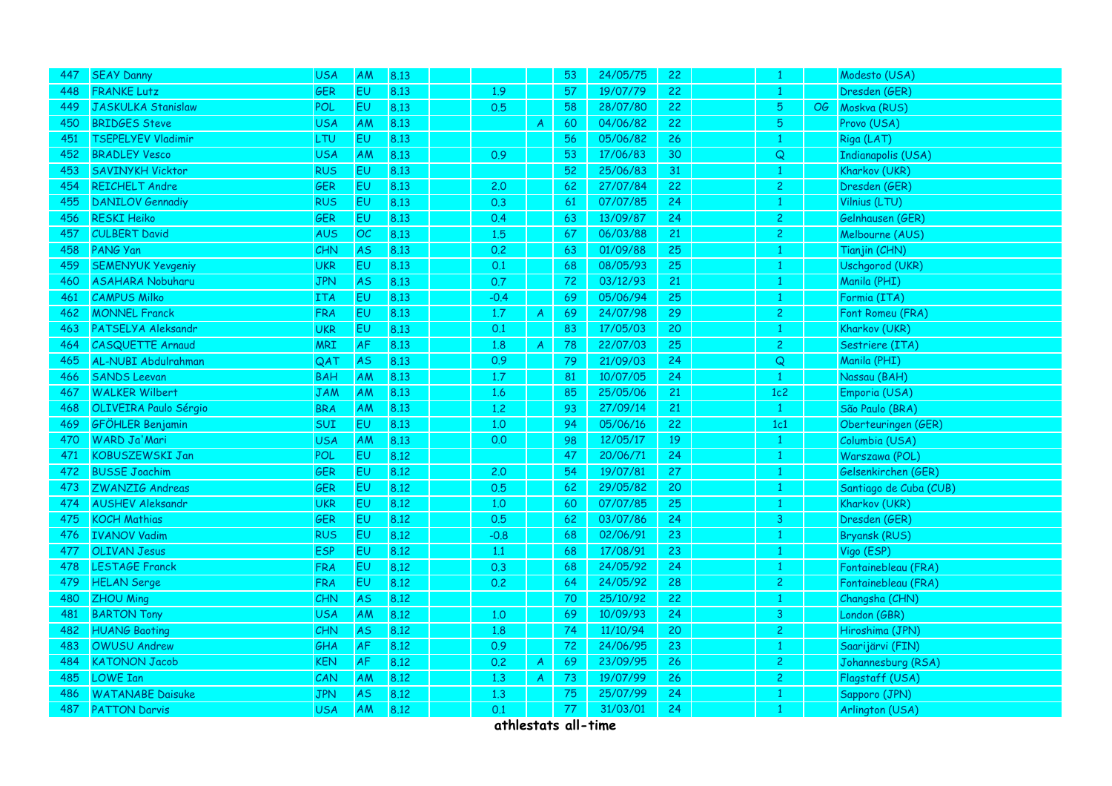| 447 | <b>SEAY Danny</b>         | <b>USA</b> | <b>AM</b> | 8.13 |        |               | 53 | 24/05/75 | 22              |                |    | Modesto (USA)          |
|-----|---------------------------|------------|-----------|------|--------|---------------|----|----------|-----------------|----------------|----|------------------------|
| 448 | <b>FRANKE Lutz</b>        | GER        | <b>EU</b> | 8.13 | 1.9    |               | 57 | 19/07/79 | 22              | 1              |    | Dresden (GER)          |
| 449 | <b>JASKULKA Stanislaw</b> | <b>POL</b> | EU        | 8.13 | 0.5    |               | 58 | 28/07/80 | 22              | 5 <sub>5</sub> | OG | Moskva (RUS)           |
| 450 | <b>BRIDGES Steve</b>      | <b>USA</b> | AM        | 8.13 |        | $\mathcal{A}$ | 60 | 04/06/82 | 22              | 5              |    | Provo (USA)            |
| 451 | <b>TSEPELYEV Vladimir</b> | LTU        | EU        | 8.13 |        |               | 56 | 05/06/82 | 26              | $\mathbf{1}$   |    | Riga (LAT)             |
| 452 | <b>BRADLEY Vesco</b>      | <b>USA</b> | AM        | 8.13 | 0.9    |               | 53 | 17/06/83 | 30              | $\overline{Q}$ |    | Indianapolis (USA)     |
| 453 | <b>SAVINYKH Vicktor</b>   | <b>RUS</b> | EU        | 8.13 |        |               | 52 | 25/06/83 | 31              | 1.             |    | Kharkov (UKR)          |
| 454 | REICHELT Andre            | GER        | EU        | 8.13 | 2.0    |               | 62 | 27/07/84 | 22              | $\overline{c}$ |    | Dresden (GER)          |
| 455 | <b>DANILOV Gennadiy</b>   | <b>RUS</b> | EU        | 8.13 | 0.3    |               | 61 | 07/07/85 | 24              | $\mathbf{1}$   |    | Vilnius (LTU)          |
| 456 | <b>RESKI Heiko</b>        | GER        | EU        | 8.13 | 0.4    |               | 63 | 13/09/87 | 24              | $\overline{c}$ |    | Gelnhausen (GER)       |
| 457 | <b>CULBERT David</b>      | <b>AUS</b> | OC        | 8.13 | 1.5    |               | 67 | 06/03/88 | 21              | $\overline{2}$ |    | Melbourne (AUS)        |
| 458 | PANG Yan                  | CHN        | <b>AS</b> | 8.13 | 0.2    |               | 63 | 01/09/88 | 25              | $\mathbf{1}$   |    | Tianjin (CHN)          |
| 459 | <b>SEMENYUK Yevgeniy</b>  | <b>UKR</b> | EU        | 8.13 | 0.1    |               | 68 | 08/05/93 | 25              | 1              |    | Uschgorod (UKR)        |
| 460 | <b>ASAHARA Nobuharu</b>   | <b>JPN</b> | <b>AS</b> | 8.13 | 0.7    |               | 72 | 03/12/93 | 21              |                |    | Manila (PHI)           |
| 461 | <b>CAMPUS Milko</b>       | <b>ITA</b> | EU        | 8.13 | $-0.4$ |               | 69 | 05/06/94 | 25              | $\mathbf{1}$   |    | Formia (ITA)           |
| 462 | <b>MONNEL Franck</b>      | <b>FRA</b> | EU        | 8.13 | 1.7    | $\mathcal{A}$ | 69 | 24/07/98 | 29              | $\overline{c}$ |    | Font Romeu (FRA)       |
| 463 | PATSELYA Aleksandr        | <b>UKR</b> | EU        | 8.13 | 0.1    |               | 83 | 17/05/03 | 20 <sub>2</sub> | $\mathbf{1}$   |    | Kharkov (UKR)          |
| 464 | <b>CASQUETTE Arnaud</b>   | <b>MRI</b> | AF        | 8.13 | 1.8    | $\mathsf{A}$  | 78 | 22/07/03 | 25              | $\overline{c}$ |    | Sestriere (ITA)        |
| 465 | AL-NUBI Abdulrahman       | QAT        | <b>AS</b> | 8.13 | 0.9    |               | 79 | 21/09/03 | 24              | $\overline{Q}$ |    | Manila (PHI)           |
| 466 | <b>SANDS Leevan</b>       | <b>BAH</b> | AM        | 8.13 | 1.7    |               | 81 | 10/07/05 | 24              | $\mathbf{1}$   |    | Nassau (BAH)           |
| 467 | <b>WALKER Wilbert</b>     | <b>JAM</b> | AM        | 8.13 | 1.6    |               | 85 | 25/05/06 | 21              | 1c2            |    | Emporia (USA)          |
| 468 | OLIVEIRA Paulo Sérgio     | <b>BRA</b> | AM        | 8.13 | 1.2    |               | 93 | 27/09/14 | 21              | $\mathbf{1}$   |    | São Paulo (BRA)        |
| 469 | <b>GFÖHLER Benjamin</b>   | SUI        | EU        | 8.13 | 1.0    |               | 94 | 05/06/16 | 22              | 1c1            |    | Oberteuringen (GER)    |
| 470 | WARD Ja'Mari              | <b>USA</b> | AM        | 8.13 | 0.0    |               | 98 | 12/05/17 | 19              |                |    | Columbia (USA)         |
| 471 | <b>KOBUSZEWSKI Jan</b>    | <b>POL</b> | EU        | 8.12 |        |               | 47 | 20/06/71 | 24              |                |    | Warszawa (POL)         |
| 472 | <b>BUSSE Joachim</b>      | GER        | EU        | 8.12 | 2.0    |               | 54 | 19/07/81 | 27              | $\mathbf{1}$   |    | Gelsenkirchen (GER)    |
| 473 | <b>ZWANZIG Andreas</b>    | GER        | EU        | 8.12 | 0.5    |               | 62 | 29/05/82 | 20              | 1              |    | Santiago de Cuba (CUB) |
| 474 | <b>AUSHEV Aleksandr</b>   | <b>UKR</b> | EU        | 8.12 | 1.0    |               | 60 | 07/07/85 | 25              |                |    | Kharkov (UKR)          |
| 475 | <b>KOCH Mathias</b>       | <b>GER</b> | EU        | 8.12 | 0.5    |               | 62 | 03/07/86 | 24              | $\overline{3}$ |    | Dresden (GER)          |
| 476 | <b>IVANOV Vadim</b>       | <b>RUS</b> | EU        | 8.12 | $-0.8$ |               | 68 | 02/06/91 | 23              |                |    | <b>Bryansk (RUS)</b>   |
| 477 | <b>OLIVAN Jesus</b>       | <b>ESP</b> | EU        | 8.12 | 1.1    |               | 68 | 17/08/91 | 23              |                |    | Vigo (ESP)             |
| 478 | <b>LESTAGE Franck</b>     | <b>FRA</b> | EU        | 8.12 | 0.3    |               | 68 | 24/05/92 | 24              | $\mathbf{1}$   |    | Fontainebleau (FRA)    |
| 479 | <b>HELAN Serge</b>        | <b>FRA</b> | EU        | 8.12 | 0.2    |               | 64 | 24/05/92 | 28              | $\overline{2}$ |    | Fontainebleau (FRA)    |
| 480 | <b>ZHOU Ming</b>          | <b>CHN</b> | <b>AS</b> | 8.12 |        |               | 70 | 25/10/92 | 22              | $\mathbf{1}$   |    | Changsha (CHN)         |
| 481 | <b>BARTON Tony</b>        | <b>USA</b> | AM        | 8.12 | 1.0    |               | 69 | 10/09/93 | 24              | 3              |    | London (GBR)           |
| 482 | <b>HUANG Baoting</b>      | <b>CHN</b> | <b>AS</b> | 8.12 | 1.8    |               | 74 | 11/10/94 | 20              | $\overline{c}$ |    | Hiroshima (JPN)        |
| 483 | <b>OWUSU Andrew</b>       | GHA        | AF        | 8.12 | 0.9    |               | 72 | 24/06/95 | 23              | 1              |    | Saarijärvi (FIN)       |
| 484 | <b>KATONON Jacob</b>      | <b>KEN</b> | <b>AF</b> | 8.12 | 0.2    | $\mathcal{A}$ | 69 | 23/09/95 | 26              | $\overline{c}$ |    | Johannesburg (RSA)     |
| 485 | <b>LOWE Ian</b>           | CAN        | AM        | 8.12 | 1.3    | $\mathcal{A}$ | 73 | 19/07/99 | 26              | $\overline{2}$ |    | Flagstaff (USA)        |
| 486 | <b>WATANABE Daisuke</b>   | <b>JPN</b> | <b>AS</b> | 8.12 | 1.3    |               | 75 | 25/07/99 | 24              | $\mathbf{1}$   |    | Sapporo (JPN)          |
| 487 | <b>PATTON Darvis</b>      | <b>USA</b> | AM        | 8.12 | 0.1    |               | 77 | 31/03/01 | 24              | $\mathbf{1}$   |    | Arlington (USA)        |